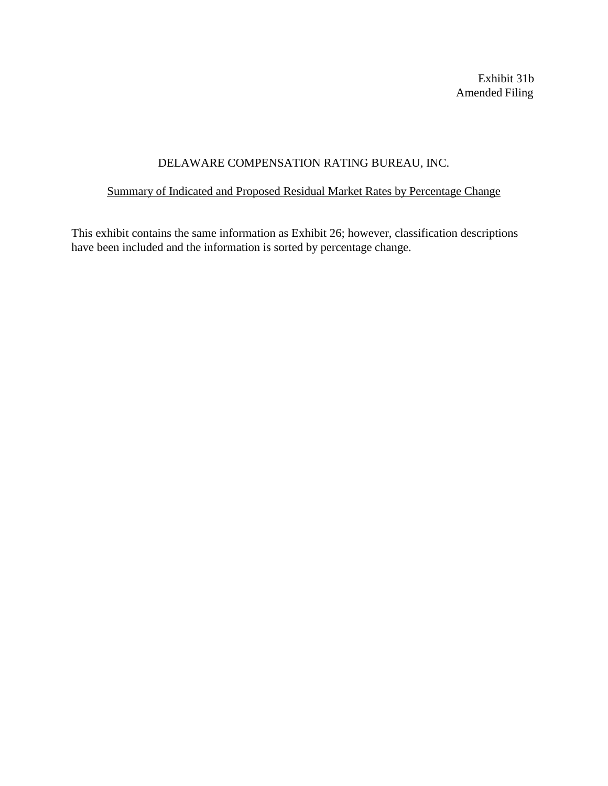Exhibit 31b Amended Filing

# DELAWARE COMPENSATION RATING BUREAU, INC.

# Summary of Indicated and Proposed Residual Market Rates by Percentage Change

This exhibit contains the same information as Exhibit 26; however, classification descriptions have been included and the information is sorted by percentage change.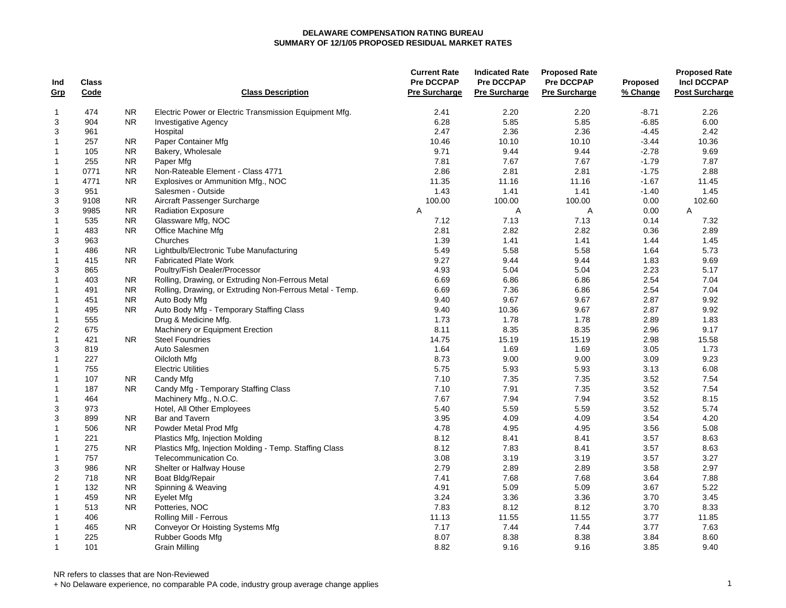| Code<br><b>Class Description</b><br><b>Pre Surcharge</b><br><b>Pre Surcharge</b><br>% Change<br><b>Post Surcharge</b><br><u>Grp</u><br>474<br><b>NR</b><br>Electric Power or Electric Transmission Equipment Mfg.<br>2.41<br>2.20<br>2.20<br>2.26<br>$\mathbf{1}$<br>$-8.71$<br>3<br>904<br>N <sub>R</sub><br>6.28<br>5.85<br>5.85<br>$-6.85$<br>6.00<br><b>Investigative Agency</b><br>3<br>2.47<br>2.36<br>2.36<br>$-4.45$<br>2.42<br>961<br>Hospital<br>$\mathbf{1}$<br>257<br><b>NR</b><br>Paper Container Mfg<br>10.46<br>10.10<br>10.10<br>$-3.44$<br>10.36<br>${\sf NR}$<br>Bakery, Wholesale<br>9.44<br>$-2.78$<br>9.69<br>$\mathbf{1}$<br>105<br>9.71<br>9.44<br>7.67<br>$-1.79$<br>7.87<br>255<br><b>NR</b><br>7.81<br>7.67<br>1<br>Paper Mfg<br><b>NR</b><br>2.86<br>2.81<br>2.81<br>$-1.75$<br>2.88<br>0771<br>Non-Rateable Element - Class 4771<br>1<br>4771<br><b>NR</b><br>Explosives or Ammunition Mfg., NOC<br>11.35<br>11.16<br>11.16<br>$-1.67$<br>11.45<br>1<br>3<br>1.43<br>1.41<br>1.41<br>$-1.40$<br>1.45<br>951<br>Salesmen - Outside<br>3<br>Aircraft Passenger Surcharge<br>100.00<br>100.00<br>100.00<br>0.00<br>102.60<br>9108<br><b>NR</b><br>3<br>9985<br><b>NR</b><br>0.00<br><b>Radiation Exposure</b><br>Α<br>Α<br>Α<br>Α<br>535<br><b>NR</b><br>7.12<br>7.13<br>7.13<br>0.14<br>7.32<br>1<br>Glassware Mfg, NOC<br>$\mathbf{1}$<br><b>NR</b><br>2.82<br>2.82<br>0.36<br>2.89<br>483<br>Office Machine Mfg<br>2.81<br>3<br>1.41<br>1.44<br>963<br>Churches<br>1.39<br>1.41<br>1.45<br>$\mathbf{1}$<br><b>NR</b><br>5.58<br>5.58<br>5.73<br>486<br>Lightbulb/Electronic Tube Manufacturing<br>5.49<br>1.64<br><b>NR</b><br>9.27<br>9.44<br>9.44<br>1.83<br>9.69<br>1<br>415<br><b>Fabricated Plate Work</b><br>3<br>4.93<br>5.04<br>5.04<br>2.23<br>5.17<br>865<br>Poultry/Fish Dealer/Processor<br>$\mathbf{1}$<br>Rolling, Drawing, or Extruding Non-Ferrous Metal<br>6.69<br>6.86<br>6.86<br>2.54<br>7.04<br>403<br>NR.<br><b>NR</b><br>Rolling, Drawing, or Extruding Non-Ferrous Metal - Temp.<br>6.69<br>7.36<br>6.86<br>2.54<br>7.04<br>$\mathbf{1}$<br>491<br><b>NR</b><br>9.40<br>9.67<br>9.67<br>2.87<br>9.92<br>$\mathbf{1}$<br>451<br>Auto Body Mfg<br>495<br><b>NR</b><br>Auto Body Mfg - Temporary Staffing Class<br>9.40<br>10.36<br>9.67<br>2.87<br>9.92<br>$\mathbf{1}$<br>$\mathbf{1}$<br>555<br>Drug & Medicine Mfg.<br>1.73<br>1.78<br>1.78<br>2.89<br>1.83<br>$\overline{2}$<br>8.35<br>675<br>Machinery or Equipment Erection<br>8.11<br>8.35<br>2.96<br>9.17<br><b>Steel Foundries</b><br>14.75<br>15.19<br>15.19<br>2.98<br>15.58<br>$\mathbf{1}$<br>421<br>NR.<br>3<br>819<br>Auto Salesmen<br>1.64<br>1.69<br>1.69<br>3.05<br>1.73<br>227<br>9.00<br>9.00<br>3.09<br>9.23<br>$\mathbf{1}$<br>8.73<br>Oilcloth Mfg<br>5.93<br>6.08<br>$\mathbf{1}$<br>755<br><b>Electric Utilities</b><br>5.75<br>5.93<br>3.13<br>${\sf NR}$<br>3.52<br>$\mathbf{1}$<br>107<br>7.10<br>7.35<br>7.35<br>7.54<br>Candy Mfg<br>N <sub>R</sub><br>3.52<br>7.54<br>$\mathbf{1}$<br>187<br>Candy Mfg - Temporary Staffing Class<br>7.10<br>7.91<br>7.35<br>7.94<br>3.52<br>8.15<br>$\mathbf{1}$<br>464<br>Machinery Mfg., N.O.C.<br>7.67<br>7.94<br>3<br>5.59<br>3.52<br>5.74<br>973<br>Hotel, All Other Employees<br>5.40<br>5.59<br>3<br>4.20<br>899<br><b>NR</b><br>Bar and Tavern<br>3.95<br>4.09<br>4.09<br>3.54<br>$\mathbf{1}$<br>4.78<br>4.95<br>4.95<br>3.56<br>5.08<br>506<br><b>NR</b><br>Powder Metal Prod Mfg<br>8.41<br>3.57<br>8.63<br>$\mathbf{1}$<br>221<br>Plastics Mfg, Injection Molding<br>8.12<br>8.41<br>8.12<br>7.83<br>8.41<br>3.57<br>8.63<br>$\mathbf{1}$<br>275<br><b>NR</b><br>Plastics Mfg, Injection Molding - Temp. Staffing Class<br>757<br>Telecommunication Co.<br>3.08<br>3.19<br>3.19<br>3.57<br>3.27<br>1<br>3<br>2.79<br>2.89<br>2.89<br>3.58<br>2.97<br>986<br>NR.<br>Shelter or Halfway House<br>$\overline{c}$<br><b>NR</b><br>7.68<br>7.68<br>3.64<br>7.88<br>718<br>Boat Bldg/Repair<br>7.41<br><b>NR</b><br>Spinning & Weaving<br>5.09<br>5.09<br>3.67<br>5.22<br>1<br>132<br>4.91<br>3.24<br>3.36<br>3.36<br>3.70<br>3.45<br>1<br>459<br><b>NR</b><br>Eyelet Mfg<br><b>NR</b><br>7.83<br>8.12<br>8.12<br>3.70<br>8.33<br>$\mathbf{1}$<br>513<br>Potteries, NOC<br>406<br>Rolling Mill - Ferrous<br>11.13<br>11.55<br>11.55<br>3.77<br>11.85<br>$\mathbf{1}$<br>$\mathbf{1}$<br>465<br>N <sub>R</sub><br>7.17<br>7.44<br>7.44<br>3.77<br>7.63<br>Conveyor Or Hoisting Systems Mfg<br>225<br>Rubber Goods Mfg<br>8.07<br>8.38<br>8.38<br>3.84<br>8.60<br>$\mathbf{1}$<br>$\mathbf{1}$<br>101<br>8.82<br>9.16<br>9.16<br>3.85<br>9.40<br><b>Grain Milling</b> | Ind | <b>Class</b> |  | <b>Current Rate</b><br>Pre DCCPAP | <b>Indicated Rate</b><br><b>Pre DCCPAP</b> | <b>Proposed Rate</b><br><b>Pre DCCPAP</b><br><b>Pre Surcharge</b> | <b>Proposed</b> | <b>Proposed Rate</b><br><b>Incl DCCPAP</b> |
|---------------------------------------------------------------------------------------------------------------------------------------------------------------------------------------------------------------------------------------------------------------------------------------------------------------------------------------------------------------------------------------------------------------------------------------------------------------------------------------------------------------------------------------------------------------------------------------------------------------------------------------------------------------------------------------------------------------------------------------------------------------------------------------------------------------------------------------------------------------------------------------------------------------------------------------------------------------------------------------------------------------------------------------------------------------------------------------------------------------------------------------------------------------------------------------------------------------------------------------------------------------------------------------------------------------------------------------------------------------------------------------------------------------------------------------------------------------------------------------------------------------------------------------------------------------------------------------------------------------------------------------------------------------------------------------------------------------------------------------------------------------------------------------------------------------------------------------------------------------------------------------------------------------------------------------------------------------------------------------------------------------------------------------------------------------------------------------------------------------------------------------------------------------------------------------------------------------------------------------------------------------------------------------------------------------------------------------------------------------------------------------------------------------------------------------------------------------------------------------------------------------------------------------------------------------------------------------------------------------------------------------------------------------------------------------------------------------------------------------------------------------------------------------------------------------------------------------------------------------------------------------------------------------------------------------------------------------------------------------------------------------------------------------------------------------------------------------------------------------------------------------------------------------------------------------------------------------------------------------------------------------------------------------------------------------------------------------------------------------------------------------------------------------------------------------------------------------------------------------------------------------------------------------------------------------------------------------------------------------------------------------------------------------------------------------------------------------------------------------------------------------------------------------------------------------------------------------------------------------------------------------------------------------------------------------------------------------------------------------------------------------------------------------------------------------------------------------------------------------------------------------------------------------------------------------------------------------------------------------------------------------------------------------------------------------------------------------------------------------------------------------------------------------------------------------------------------------------------------------------------------------------------------------------------------------------------------------------------------------------------------------------|-----|--------------|--|-----------------------------------|--------------------------------------------|-------------------------------------------------------------------|-----------------|--------------------------------------------|
|                                                                                                                                                                                                                                                                                                                                                                                                                                                                                                                                                                                                                                                                                                                                                                                                                                                                                                                                                                                                                                                                                                                                                                                                                                                                                                                                                                                                                                                                                                                                                                                                                                                                                                                                                                                                                                                                                                                                                                                                                                                                                                                                                                                                                                                                                                                                                                                                                                                                                                                                                                                                                                                                                                                                                                                                                                                                                                                                                                                                                                                                                                                                                                                                                                                                                                                                                                                                                                                                                                                                                                                                                                                                                                                                                                                                                                                                                                                                                                                                                                                                                                                                                                                                                                                                                                                                                                                                                                                                                                                                                                                                                                             |     |              |  |                                   |                                            |                                                                   |                 |                                            |
|                                                                                                                                                                                                                                                                                                                                                                                                                                                                                                                                                                                                                                                                                                                                                                                                                                                                                                                                                                                                                                                                                                                                                                                                                                                                                                                                                                                                                                                                                                                                                                                                                                                                                                                                                                                                                                                                                                                                                                                                                                                                                                                                                                                                                                                                                                                                                                                                                                                                                                                                                                                                                                                                                                                                                                                                                                                                                                                                                                                                                                                                                                                                                                                                                                                                                                                                                                                                                                                                                                                                                                                                                                                                                                                                                                                                                                                                                                                                                                                                                                                                                                                                                                                                                                                                                                                                                                                                                                                                                                                                                                                                                                             |     |              |  |                                   |                                            |                                                                   |                 |                                            |
|                                                                                                                                                                                                                                                                                                                                                                                                                                                                                                                                                                                                                                                                                                                                                                                                                                                                                                                                                                                                                                                                                                                                                                                                                                                                                                                                                                                                                                                                                                                                                                                                                                                                                                                                                                                                                                                                                                                                                                                                                                                                                                                                                                                                                                                                                                                                                                                                                                                                                                                                                                                                                                                                                                                                                                                                                                                                                                                                                                                                                                                                                                                                                                                                                                                                                                                                                                                                                                                                                                                                                                                                                                                                                                                                                                                                                                                                                                                                                                                                                                                                                                                                                                                                                                                                                                                                                                                                                                                                                                                                                                                                                                             |     |              |  |                                   |                                            |                                                                   |                 |                                            |
|                                                                                                                                                                                                                                                                                                                                                                                                                                                                                                                                                                                                                                                                                                                                                                                                                                                                                                                                                                                                                                                                                                                                                                                                                                                                                                                                                                                                                                                                                                                                                                                                                                                                                                                                                                                                                                                                                                                                                                                                                                                                                                                                                                                                                                                                                                                                                                                                                                                                                                                                                                                                                                                                                                                                                                                                                                                                                                                                                                                                                                                                                                                                                                                                                                                                                                                                                                                                                                                                                                                                                                                                                                                                                                                                                                                                                                                                                                                                                                                                                                                                                                                                                                                                                                                                                                                                                                                                                                                                                                                                                                                                                                             |     |              |  |                                   |                                            |                                                                   |                 |                                            |
|                                                                                                                                                                                                                                                                                                                                                                                                                                                                                                                                                                                                                                                                                                                                                                                                                                                                                                                                                                                                                                                                                                                                                                                                                                                                                                                                                                                                                                                                                                                                                                                                                                                                                                                                                                                                                                                                                                                                                                                                                                                                                                                                                                                                                                                                                                                                                                                                                                                                                                                                                                                                                                                                                                                                                                                                                                                                                                                                                                                                                                                                                                                                                                                                                                                                                                                                                                                                                                                                                                                                                                                                                                                                                                                                                                                                                                                                                                                                                                                                                                                                                                                                                                                                                                                                                                                                                                                                                                                                                                                                                                                                                                             |     |              |  |                                   |                                            |                                                                   |                 |                                            |
|                                                                                                                                                                                                                                                                                                                                                                                                                                                                                                                                                                                                                                                                                                                                                                                                                                                                                                                                                                                                                                                                                                                                                                                                                                                                                                                                                                                                                                                                                                                                                                                                                                                                                                                                                                                                                                                                                                                                                                                                                                                                                                                                                                                                                                                                                                                                                                                                                                                                                                                                                                                                                                                                                                                                                                                                                                                                                                                                                                                                                                                                                                                                                                                                                                                                                                                                                                                                                                                                                                                                                                                                                                                                                                                                                                                                                                                                                                                                                                                                                                                                                                                                                                                                                                                                                                                                                                                                                                                                                                                                                                                                                                             |     |              |  |                                   |                                            |                                                                   |                 |                                            |
|                                                                                                                                                                                                                                                                                                                                                                                                                                                                                                                                                                                                                                                                                                                                                                                                                                                                                                                                                                                                                                                                                                                                                                                                                                                                                                                                                                                                                                                                                                                                                                                                                                                                                                                                                                                                                                                                                                                                                                                                                                                                                                                                                                                                                                                                                                                                                                                                                                                                                                                                                                                                                                                                                                                                                                                                                                                                                                                                                                                                                                                                                                                                                                                                                                                                                                                                                                                                                                                                                                                                                                                                                                                                                                                                                                                                                                                                                                                                                                                                                                                                                                                                                                                                                                                                                                                                                                                                                                                                                                                                                                                                                                             |     |              |  |                                   |                                            |                                                                   |                 |                                            |
|                                                                                                                                                                                                                                                                                                                                                                                                                                                                                                                                                                                                                                                                                                                                                                                                                                                                                                                                                                                                                                                                                                                                                                                                                                                                                                                                                                                                                                                                                                                                                                                                                                                                                                                                                                                                                                                                                                                                                                                                                                                                                                                                                                                                                                                                                                                                                                                                                                                                                                                                                                                                                                                                                                                                                                                                                                                                                                                                                                                                                                                                                                                                                                                                                                                                                                                                                                                                                                                                                                                                                                                                                                                                                                                                                                                                                                                                                                                                                                                                                                                                                                                                                                                                                                                                                                                                                                                                                                                                                                                                                                                                                                             |     |              |  |                                   |                                            |                                                                   |                 |                                            |
|                                                                                                                                                                                                                                                                                                                                                                                                                                                                                                                                                                                                                                                                                                                                                                                                                                                                                                                                                                                                                                                                                                                                                                                                                                                                                                                                                                                                                                                                                                                                                                                                                                                                                                                                                                                                                                                                                                                                                                                                                                                                                                                                                                                                                                                                                                                                                                                                                                                                                                                                                                                                                                                                                                                                                                                                                                                                                                                                                                                                                                                                                                                                                                                                                                                                                                                                                                                                                                                                                                                                                                                                                                                                                                                                                                                                                                                                                                                                                                                                                                                                                                                                                                                                                                                                                                                                                                                                                                                                                                                                                                                                                                             |     |              |  |                                   |                                            |                                                                   |                 |                                            |
|                                                                                                                                                                                                                                                                                                                                                                                                                                                                                                                                                                                                                                                                                                                                                                                                                                                                                                                                                                                                                                                                                                                                                                                                                                                                                                                                                                                                                                                                                                                                                                                                                                                                                                                                                                                                                                                                                                                                                                                                                                                                                                                                                                                                                                                                                                                                                                                                                                                                                                                                                                                                                                                                                                                                                                                                                                                                                                                                                                                                                                                                                                                                                                                                                                                                                                                                                                                                                                                                                                                                                                                                                                                                                                                                                                                                                                                                                                                                                                                                                                                                                                                                                                                                                                                                                                                                                                                                                                                                                                                                                                                                                                             |     |              |  |                                   |                                            |                                                                   |                 |                                            |
|                                                                                                                                                                                                                                                                                                                                                                                                                                                                                                                                                                                                                                                                                                                                                                                                                                                                                                                                                                                                                                                                                                                                                                                                                                                                                                                                                                                                                                                                                                                                                                                                                                                                                                                                                                                                                                                                                                                                                                                                                                                                                                                                                                                                                                                                                                                                                                                                                                                                                                                                                                                                                                                                                                                                                                                                                                                                                                                                                                                                                                                                                                                                                                                                                                                                                                                                                                                                                                                                                                                                                                                                                                                                                                                                                                                                                                                                                                                                                                                                                                                                                                                                                                                                                                                                                                                                                                                                                                                                                                                                                                                                                                             |     |              |  |                                   |                                            |                                                                   |                 |                                            |
|                                                                                                                                                                                                                                                                                                                                                                                                                                                                                                                                                                                                                                                                                                                                                                                                                                                                                                                                                                                                                                                                                                                                                                                                                                                                                                                                                                                                                                                                                                                                                                                                                                                                                                                                                                                                                                                                                                                                                                                                                                                                                                                                                                                                                                                                                                                                                                                                                                                                                                                                                                                                                                                                                                                                                                                                                                                                                                                                                                                                                                                                                                                                                                                                                                                                                                                                                                                                                                                                                                                                                                                                                                                                                                                                                                                                                                                                                                                                                                                                                                                                                                                                                                                                                                                                                                                                                                                                                                                                                                                                                                                                                                             |     |              |  |                                   |                                            |                                                                   |                 |                                            |
|                                                                                                                                                                                                                                                                                                                                                                                                                                                                                                                                                                                                                                                                                                                                                                                                                                                                                                                                                                                                                                                                                                                                                                                                                                                                                                                                                                                                                                                                                                                                                                                                                                                                                                                                                                                                                                                                                                                                                                                                                                                                                                                                                                                                                                                                                                                                                                                                                                                                                                                                                                                                                                                                                                                                                                                                                                                                                                                                                                                                                                                                                                                                                                                                                                                                                                                                                                                                                                                                                                                                                                                                                                                                                                                                                                                                                                                                                                                                                                                                                                                                                                                                                                                                                                                                                                                                                                                                                                                                                                                                                                                                                                             |     |              |  |                                   |                                            |                                                                   |                 |                                            |
|                                                                                                                                                                                                                                                                                                                                                                                                                                                                                                                                                                                                                                                                                                                                                                                                                                                                                                                                                                                                                                                                                                                                                                                                                                                                                                                                                                                                                                                                                                                                                                                                                                                                                                                                                                                                                                                                                                                                                                                                                                                                                                                                                                                                                                                                                                                                                                                                                                                                                                                                                                                                                                                                                                                                                                                                                                                                                                                                                                                                                                                                                                                                                                                                                                                                                                                                                                                                                                                                                                                                                                                                                                                                                                                                                                                                                                                                                                                                                                                                                                                                                                                                                                                                                                                                                                                                                                                                                                                                                                                                                                                                                                             |     |              |  |                                   |                                            |                                                                   |                 |                                            |
|                                                                                                                                                                                                                                                                                                                                                                                                                                                                                                                                                                                                                                                                                                                                                                                                                                                                                                                                                                                                                                                                                                                                                                                                                                                                                                                                                                                                                                                                                                                                                                                                                                                                                                                                                                                                                                                                                                                                                                                                                                                                                                                                                                                                                                                                                                                                                                                                                                                                                                                                                                                                                                                                                                                                                                                                                                                                                                                                                                                                                                                                                                                                                                                                                                                                                                                                                                                                                                                                                                                                                                                                                                                                                                                                                                                                                                                                                                                                                                                                                                                                                                                                                                                                                                                                                                                                                                                                                                                                                                                                                                                                                                             |     |              |  |                                   |                                            |                                                                   |                 |                                            |
|                                                                                                                                                                                                                                                                                                                                                                                                                                                                                                                                                                                                                                                                                                                                                                                                                                                                                                                                                                                                                                                                                                                                                                                                                                                                                                                                                                                                                                                                                                                                                                                                                                                                                                                                                                                                                                                                                                                                                                                                                                                                                                                                                                                                                                                                                                                                                                                                                                                                                                                                                                                                                                                                                                                                                                                                                                                                                                                                                                                                                                                                                                                                                                                                                                                                                                                                                                                                                                                                                                                                                                                                                                                                                                                                                                                                                                                                                                                                                                                                                                                                                                                                                                                                                                                                                                                                                                                                                                                                                                                                                                                                                                             |     |              |  |                                   |                                            |                                                                   |                 |                                            |
|                                                                                                                                                                                                                                                                                                                                                                                                                                                                                                                                                                                                                                                                                                                                                                                                                                                                                                                                                                                                                                                                                                                                                                                                                                                                                                                                                                                                                                                                                                                                                                                                                                                                                                                                                                                                                                                                                                                                                                                                                                                                                                                                                                                                                                                                                                                                                                                                                                                                                                                                                                                                                                                                                                                                                                                                                                                                                                                                                                                                                                                                                                                                                                                                                                                                                                                                                                                                                                                                                                                                                                                                                                                                                                                                                                                                                                                                                                                                                                                                                                                                                                                                                                                                                                                                                                                                                                                                                                                                                                                                                                                                                                             |     |              |  |                                   |                                            |                                                                   |                 |                                            |
|                                                                                                                                                                                                                                                                                                                                                                                                                                                                                                                                                                                                                                                                                                                                                                                                                                                                                                                                                                                                                                                                                                                                                                                                                                                                                                                                                                                                                                                                                                                                                                                                                                                                                                                                                                                                                                                                                                                                                                                                                                                                                                                                                                                                                                                                                                                                                                                                                                                                                                                                                                                                                                                                                                                                                                                                                                                                                                                                                                                                                                                                                                                                                                                                                                                                                                                                                                                                                                                                                                                                                                                                                                                                                                                                                                                                                                                                                                                                                                                                                                                                                                                                                                                                                                                                                                                                                                                                                                                                                                                                                                                                                                             |     |              |  |                                   |                                            |                                                                   |                 |                                            |
|                                                                                                                                                                                                                                                                                                                                                                                                                                                                                                                                                                                                                                                                                                                                                                                                                                                                                                                                                                                                                                                                                                                                                                                                                                                                                                                                                                                                                                                                                                                                                                                                                                                                                                                                                                                                                                                                                                                                                                                                                                                                                                                                                                                                                                                                                                                                                                                                                                                                                                                                                                                                                                                                                                                                                                                                                                                                                                                                                                                                                                                                                                                                                                                                                                                                                                                                                                                                                                                                                                                                                                                                                                                                                                                                                                                                                                                                                                                                                                                                                                                                                                                                                                                                                                                                                                                                                                                                                                                                                                                                                                                                                                             |     |              |  |                                   |                                            |                                                                   |                 |                                            |
|                                                                                                                                                                                                                                                                                                                                                                                                                                                                                                                                                                                                                                                                                                                                                                                                                                                                                                                                                                                                                                                                                                                                                                                                                                                                                                                                                                                                                                                                                                                                                                                                                                                                                                                                                                                                                                                                                                                                                                                                                                                                                                                                                                                                                                                                                                                                                                                                                                                                                                                                                                                                                                                                                                                                                                                                                                                                                                                                                                                                                                                                                                                                                                                                                                                                                                                                                                                                                                                                                                                                                                                                                                                                                                                                                                                                                                                                                                                                                                                                                                                                                                                                                                                                                                                                                                                                                                                                                                                                                                                                                                                                                                             |     |              |  |                                   |                                            |                                                                   |                 |                                            |
|                                                                                                                                                                                                                                                                                                                                                                                                                                                                                                                                                                                                                                                                                                                                                                                                                                                                                                                                                                                                                                                                                                                                                                                                                                                                                                                                                                                                                                                                                                                                                                                                                                                                                                                                                                                                                                                                                                                                                                                                                                                                                                                                                                                                                                                                                                                                                                                                                                                                                                                                                                                                                                                                                                                                                                                                                                                                                                                                                                                                                                                                                                                                                                                                                                                                                                                                                                                                                                                                                                                                                                                                                                                                                                                                                                                                                                                                                                                                                                                                                                                                                                                                                                                                                                                                                                                                                                                                                                                                                                                                                                                                                                             |     |              |  |                                   |                                            |                                                                   |                 |                                            |
|                                                                                                                                                                                                                                                                                                                                                                                                                                                                                                                                                                                                                                                                                                                                                                                                                                                                                                                                                                                                                                                                                                                                                                                                                                                                                                                                                                                                                                                                                                                                                                                                                                                                                                                                                                                                                                                                                                                                                                                                                                                                                                                                                                                                                                                                                                                                                                                                                                                                                                                                                                                                                                                                                                                                                                                                                                                                                                                                                                                                                                                                                                                                                                                                                                                                                                                                                                                                                                                                                                                                                                                                                                                                                                                                                                                                                                                                                                                                                                                                                                                                                                                                                                                                                                                                                                                                                                                                                                                                                                                                                                                                                                             |     |              |  |                                   |                                            |                                                                   |                 |                                            |
|                                                                                                                                                                                                                                                                                                                                                                                                                                                                                                                                                                                                                                                                                                                                                                                                                                                                                                                                                                                                                                                                                                                                                                                                                                                                                                                                                                                                                                                                                                                                                                                                                                                                                                                                                                                                                                                                                                                                                                                                                                                                                                                                                                                                                                                                                                                                                                                                                                                                                                                                                                                                                                                                                                                                                                                                                                                                                                                                                                                                                                                                                                                                                                                                                                                                                                                                                                                                                                                                                                                                                                                                                                                                                                                                                                                                                                                                                                                                                                                                                                                                                                                                                                                                                                                                                                                                                                                                                                                                                                                                                                                                                                             |     |              |  |                                   |                                            |                                                                   |                 |                                            |
|                                                                                                                                                                                                                                                                                                                                                                                                                                                                                                                                                                                                                                                                                                                                                                                                                                                                                                                                                                                                                                                                                                                                                                                                                                                                                                                                                                                                                                                                                                                                                                                                                                                                                                                                                                                                                                                                                                                                                                                                                                                                                                                                                                                                                                                                                                                                                                                                                                                                                                                                                                                                                                                                                                                                                                                                                                                                                                                                                                                                                                                                                                                                                                                                                                                                                                                                                                                                                                                                                                                                                                                                                                                                                                                                                                                                                                                                                                                                                                                                                                                                                                                                                                                                                                                                                                                                                                                                                                                                                                                                                                                                                                             |     |              |  |                                   |                                            |                                                                   |                 |                                            |
|                                                                                                                                                                                                                                                                                                                                                                                                                                                                                                                                                                                                                                                                                                                                                                                                                                                                                                                                                                                                                                                                                                                                                                                                                                                                                                                                                                                                                                                                                                                                                                                                                                                                                                                                                                                                                                                                                                                                                                                                                                                                                                                                                                                                                                                                                                                                                                                                                                                                                                                                                                                                                                                                                                                                                                                                                                                                                                                                                                                                                                                                                                                                                                                                                                                                                                                                                                                                                                                                                                                                                                                                                                                                                                                                                                                                                                                                                                                                                                                                                                                                                                                                                                                                                                                                                                                                                                                                                                                                                                                                                                                                                                             |     |              |  |                                   |                                            |                                                                   |                 |                                            |
|                                                                                                                                                                                                                                                                                                                                                                                                                                                                                                                                                                                                                                                                                                                                                                                                                                                                                                                                                                                                                                                                                                                                                                                                                                                                                                                                                                                                                                                                                                                                                                                                                                                                                                                                                                                                                                                                                                                                                                                                                                                                                                                                                                                                                                                                                                                                                                                                                                                                                                                                                                                                                                                                                                                                                                                                                                                                                                                                                                                                                                                                                                                                                                                                                                                                                                                                                                                                                                                                                                                                                                                                                                                                                                                                                                                                                                                                                                                                                                                                                                                                                                                                                                                                                                                                                                                                                                                                                                                                                                                                                                                                                                             |     |              |  |                                   |                                            |                                                                   |                 |                                            |
|                                                                                                                                                                                                                                                                                                                                                                                                                                                                                                                                                                                                                                                                                                                                                                                                                                                                                                                                                                                                                                                                                                                                                                                                                                                                                                                                                                                                                                                                                                                                                                                                                                                                                                                                                                                                                                                                                                                                                                                                                                                                                                                                                                                                                                                                                                                                                                                                                                                                                                                                                                                                                                                                                                                                                                                                                                                                                                                                                                                                                                                                                                                                                                                                                                                                                                                                                                                                                                                                                                                                                                                                                                                                                                                                                                                                                                                                                                                                                                                                                                                                                                                                                                                                                                                                                                                                                                                                                                                                                                                                                                                                                                             |     |              |  |                                   |                                            |                                                                   |                 |                                            |
|                                                                                                                                                                                                                                                                                                                                                                                                                                                                                                                                                                                                                                                                                                                                                                                                                                                                                                                                                                                                                                                                                                                                                                                                                                                                                                                                                                                                                                                                                                                                                                                                                                                                                                                                                                                                                                                                                                                                                                                                                                                                                                                                                                                                                                                                                                                                                                                                                                                                                                                                                                                                                                                                                                                                                                                                                                                                                                                                                                                                                                                                                                                                                                                                                                                                                                                                                                                                                                                                                                                                                                                                                                                                                                                                                                                                                                                                                                                                                                                                                                                                                                                                                                                                                                                                                                                                                                                                                                                                                                                                                                                                                                             |     |              |  |                                   |                                            |                                                                   |                 |                                            |
|                                                                                                                                                                                                                                                                                                                                                                                                                                                                                                                                                                                                                                                                                                                                                                                                                                                                                                                                                                                                                                                                                                                                                                                                                                                                                                                                                                                                                                                                                                                                                                                                                                                                                                                                                                                                                                                                                                                                                                                                                                                                                                                                                                                                                                                                                                                                                                                                                                                                                                                                                                                                                                                                                                                                                                                                                                                                                                                                                                                                                                                                                                                                                                                                                                                                                                                                                                                                                                                                                                                                                                                                                                                                                                                                                                                                                                                                                                                                                                                                                                                                                                                                                                                                                                                                                                                                                                                                                                                                                                                                                                                                                                             |     |              |  |                                   |                                            |                                                                   |                 |                                            |
|                                                                                                                                                                                                                                                                                                                                                                                                                                                                                                                                                                                                                                                                                                                                                                                                                                                                                                                                                                                                                                                                                                                                                                                                                                                                                                                                                                                                                                                                                                                                                                                                                                                                                                                                                                                                                                                                                                                                                                                                                                                                                                                                                                                                                                                                                                                                                                                                                                                                                                                                                                                                                                                                                                                                                                                                                                                                                                                                                                                                                                                                                                                                                                                                                                                                                                                                                                                                                                                                                                                                                                                                                                                                                                                                                                                                                                                                                                                                                                                                                                                                                                                                                                                                                                                                                                                                                                                                                                                                                                                                                                                                                                             |     |              |  |                                   |                                            |                                                                   |                 |                                            |
|                                                                                                                                                                                                                                                                                                                                                                                                                                                                                                                                                                                                                                                                                                                                                                                                                                                                                                                                                                                                                                                                                                                                                                                                                                                                                                                                                                                                                                                                                                                                                                                                                                                                                                                                                                                                                                                                                                                                                                                                                                                                                                                                                                                                                                                                                                                                                                                                                                                                                                                                                                                                                                                                                                                                                                                                                                                                                                                                                                                                                                                                                                                                                                                                                                                                                                                                                                                                                                                                                                                                                                                                                                                                                                                                                                                                                                                                                                                                                                                                                                                                                                                                                                                                                                                                                                                                                                                                                                                                                                                                                                                                                                             |     |              |  |                                   |                                            |                                                                   |                 |                                            |
|                                                                                                                                                                                                                                                                                                                                                                                                                                                                                                                                                                                                                                                                                                                                                                                                                                                                                                                                                                                                                                                                                                                                                                                                                                                                                                                                                                                                                                                                                                                                                                                                                                                                                                                                                                                                                                                                                                                                                                                                                                                                                                                                                                                                                                                                                                                                                                                                                                                                                                                                                                                                                                                                                                                                                                                                                                                                                                                                                                                                                                                                                                                                                                                                                                                                                                                                                                                                                                                                                                                                                                                                                                                                                                                                                                                                                                                                                                                                                                                                                                                                                                                                                                                                                                                                                                                                                                                                                                                                                                                                                                                                                                             |     |              |  |                                   |                                            |                                                                   |                 |                                            |
|                                                                                                                                                                                                                                                                                                                                                                                                                                                                                                                                                                                                                                                                                                                                                                                                                                                                                                                                                                                                                                                                                                                                                                                                                                                                                                                                                                                                                                                                                                                                                                                                                                                                                                                                                                                                                                                                                                                                                                                                                                                                                                                                                                                                                                                                                                                                                                                                                                                                                                                                                                                                                                                                                                                                                                                                                                                                                                                                                                                                                                                                                                                                                                                                                                                                                                                                                                                                                                                                                                                                                                                                                                                                                                                                                                                                                                                                                                                                                                                                                                                                                                                                                                                                                                                                                                                                                                                                                                                                                                                                                                                                                                             |     |              |  |                                   |                                            |                                                                   |                 |                                            |
|                                                                                                                                                                                                                                                                                                                                                                                                                                                                                                                                                                                                                                                                                                                                                                                                                                                                                                                                                                                                                                                                                                                                                                                                                                                                                                                                                                                                                                                                                                                                                                                                                                                                                                                                                                                                                                                                                                                                                                                                                                                                                                                                                                                                                                                                                                                                                                                                                                                                                                                                                                                                                                                                                                                                                                                                                                                                                                                                                                                                                                                                                                                                                                                                                                                                                                                                                                                                                                                                                                                                                                                                                                                                                                                                                                                                                                                                                                                                                                                                                                                                                                                                                                                                                                                                                                                                                                                                                                                                                                                                                                                                                                             |     |              |  |                                   |                                            |                                                                   |                 |                                            |
|                                                                                                                                                                                                                                                                                                                                                                                                                                                                                                                                                                                                                                                                                                                                                                                                                                                                                                                                                                                                                                                                                                                                                                                                                                                                                                                                                                                                                                                                                                                                                                                                                                                                                                                                                                                                                                                                                                                                                                                                                                                                                                                                                                                                                                                                                                                                                                                                                                                                                                                                                                                                                                                                                                                                                                                                                                                                                                                                                                                                                                                                                                                                                                                                                                                                                                                                                                                                                                                                                                                                                                                                                                                                                                                                                                                                                                                                                                                                                                                                                                                                                                                                                                                                                                                                                                                                                                                                                                                                                                                                                                                                                                             |     |              |  |                                   |                                            |                                                                   |                 |                                            |
|                                                                                                                                                                                                                                                                                                                                                                                                                                                                                                                                                                                                                                                                                                                                                                                                                                                                                                                                                                                                                                                                                                                                                                                                                                                                                                                                                                                                                                                                                                                                                                                                                                                                                                                                                                                                                                                                                                                                                                                                                                                                                                                                                                                                                                                                                                                                                                                                                                                                                                                                                                                                                                                                                                                                                                                                                                                                                                                                                                                                                                                                                                                                                                                                                                                                                                                                                                                                                                                                                                                                                                                                                                                                                                                                                                                                                                                                                                                                                                                                                                                                                                                                                                                                                                                                                                                                                                                                                                                                                                                                                                                                                                             |     |              |  |                                   |                                            |                                                                   |                 |                                            |
|                                                                                                                                                                                                                                                                                                                                                                                                                                                                                                                                                                                                                                                                                                                                                                                                                                                                                                                                                                                                                                                                                                                                                                                                                                                                                                                                                                                                                                                                                                                                                                                                                                                                                                                                                                                                                                                                                                                                                                                                                                                                                                                                                                                                                                                                                                                                                                                                                                                                                                                                                                                                                                                                                                                                                                                                                                                                                                                                                                                                                                                                                                                                                                                                                                                                                                                                                                                                                                                                                                                                                                                                                                                                                                                                                                                                                                                                                                                                                                                                                                                                                                                                                                                                                                                                                                                                                                                                                                                                                                                                                                                                                                             |     |              |  |                                   |                                            |                                                                   |                 |                                            |
|                                                                                                                                                                                                                                                                                                                                                                                                                                                                                                                                                                                                                                                                                                                                                                                                                                                                                                                                                                                                                                                                                                                                                                                                                                                                                                                                                                                                                                                                                                                                                                                                                                                                                                                                                                                                                                                                                                                                                                                                                                                                                                                                                                                                                                                                                                                                                                                                                                                                                                                                                                                                                                                                                                                                                                                                                                                                                                                                                                                                                                                                                                                                                                                                                                                                                                                                                                                                                                                                                                                                                                                                                                                                                                                                                                                                                                                                                                                                                                                                                                                                                                                                                                                                                                                                                                                                                                                                                                                                                                                                                                                                                                             |     |              |  |                                   |                                            |                                                                   |                 |                                            |
|                                                                                                                                                                                                                                                                                                                                                                                                                                                                                                                                                                                                                                                                                                                                                                                                                                                                                                                                                                                                                                                                                                                                                                                                                                                                                                                                                                                                                                                                                                                                                                                                                                                                                                                                                                                                                                                                                                                                                                                                                                                                                                                                                                                                                                                                                                                                                                                                                                                                                                                                                                                                                                                                                                                                                                                                                                                                                                                                                                                                                                                                                                                                                                                                                                                                                                                                                                                                                                                                                                                                                                                                                                                                                                                                                                                                                                                                                                                                                                                                                                                                                                                                                                                                                                                                                                                                                                                                                                                                                                                                                                                                                                             |     |              |  |                                   |                                            |                                                                   |                 |                                            |
|                                                                                                                                                                                                                                                                                                                                                                                                                                                                                                                                                                                                                                                                                                                                                                                                                                                                                                                                                                                                                                                                                                                                                                                                                                                                                                                                                                                                                                                                                                                                                                                                                                                                                                                                                                                                                                                                                                                                                                                                                                                                                                                                                                                                                                                                                                                                                                                                                                                                                                                                                                                                                                                                                                                                                                                                                                                                                                                                                                                                                                                                                                                                                                                                                                                                                                                                                                                                                                                                                                                                                                                                                                                                                                                                                                                                                                                                                                                                                                                                                                                                                                                                                                                                                                                                                                                                                                                                                                                                                                                                                                                                                                             |     |              |  |                                   |                                            |                                                                   |                 |                                            |
|                                                                                                                                                                                                                                                                                                                                                                                                                                                                                                                                                                                                                                                                                                                                                                                                                                                                                                                                                                                                                                                                                                                                                                                                                                                                                                                                                                                                                                                                                                                                                                                                                                                                                                                                                                                                                                                                                                                                                                                                                                                                                                                                                                                                                                                                                                                                                                                                                                                                                                                                                                                                                                                                                                                                                                                                                                                                                                                                                                                                                                                                                                                                                                                                                                                                                                                                                                                                                                                                                                                                                                                                                                                                                                                                                                                                                                                                                                                                                                                                                                                                                                                                                                                                                                                                                                                                                                                                                                                                                                                                                                                                                                             |     |              |  |                                   |                                            |                                                                   |                 |                                            |
|                                                                                                                                                                                                                                                                                                                                                                                                                                                                                                                                                                                                                                                                                                                                                                                                                                                                                                                                                                                                                                                                                                                                                                                                                                                                                                                                                                                                                                                                                                                                                                                                                                                                                                                                                                                                                                                                                                                                                                                                                                                                                                                                                                                                                                                                                                                                                                                                                                                                                                                                                                                                                                                                                                                                                                                                                                                                                                                                                                                                                                                                                                                                                                                                                                                                                                                                                                                                                                                                                                                                                                                                                                                                                                                                                                                                                                                                                                                                                                                                                                                                                                                                                                                                                                                                                                                                                                                                                                                                                                                                                                                                                                             |     |              |  |                                   |                                            |                                                                   |                 |                                            |
|                                                                                                                                                                                                                                                                                                                                                                                                                                                                                                                                                                                                                                                                                                                                                                                                                                                                                                                                                                                                                                                                                                                                                                                                                                                                                                                                                                                                                                                                                                                                                                                                                                                                                                                                                                                                                                                                                                                                                                                                                                                                                                                                                                                                                                                                                                                                                                                                                                                                                                                                                                                                                                                                                                                                                                                                                                                                                                                                                                                                                                                                                                                                                                                                                                                                                                                                                                                                                                                                                                                                                                                                                                                                                                                                                                                                                                                                                                                                                                                                                                                                                                                                                                                                                                                                                                                                                                                                                                                                                                                                                                                                                                             |     |              |  |                                   |                                            |                                                                   |                 |                                            |
|                                                                                                                                                                                                                                                                                                                                                                                                                                                                                                                                                                                                                                                                                                                                                                                                                                                                                                                                                                                                                                                                                                                                                                                                                                                                                                                                                                                                                                                                                                                                                                                                                                                                                                                                                                                                                                                                                                                                                                                                                                                                                                                                                                                                                                                                                                                                                                                                                                                                                                                                                                                                                                                                                                                                                                                                                                                                                                                                                                                                                                                                                                                                                                                                                                                                                                                                                                                                                                                                                                                                                                                                                                                                                                                                                                                                                                                                                                                                                                                                                                                                                                                                                                                                                                                                                                                                                                                                                                                                                                                                                                                                                                             |     |              |  |                                   |                                            |                                                                   |                 |                                            |
|                                                                                                                                                                                                                                                                                                                                                                                                                                                                                                                                                                                                                                                                                                                                                                                                                                                                                                                                                                                                                                                                                                                                                                                                                                                                                                                                                                                                                                                                                                                                                                                                                                                                                                                                                                                                                                                                                                                                                                                                                                                                                                                                                                                                                                                                                                                                                                                                                                                                                                                                                                                                                                                                                                                                                                                                                                                                                                                                                                                                                                                                                                                                                                                                                                                                                                                                                                                                                                                                                                                                                                                                                                                                                                                                                                                                                                                                                                                                                                                                                                                                                                                                                                                                                                                                                                                                                                                                                                                                                                                                                                                                                                             |     |              |  |                                   |                                            |                                                                   |                 |                                            |
|                                                                                                                                                                                                                                                                                                                                                                                                                                                                                                                                                                                                                                                                                                                                                                                                                                                                                                                                                                                                                                                                                                                                                                                                                                                                                                                                                                                                                                                                                                                                                                                                                                                                                                                                                                                                                                                                                                                                                                                                                                                                                                                                                                                                                                                                                                                                                                                                                                                                                                                                                                                                                                                                                                                                                                                                                                                                                                                                                                                                                                                                                                                                                                                                                                                                                                                                                                                                                                                                                                                                                                                                                                                                                                                                                                                                                                                                                                                                                                                                                                                                                                                                                                                                                                                                                                                                                                                                                                                                                                                                                                                                                                             |     |              |  |                                   |                                            |                                                                   |                 |                                            |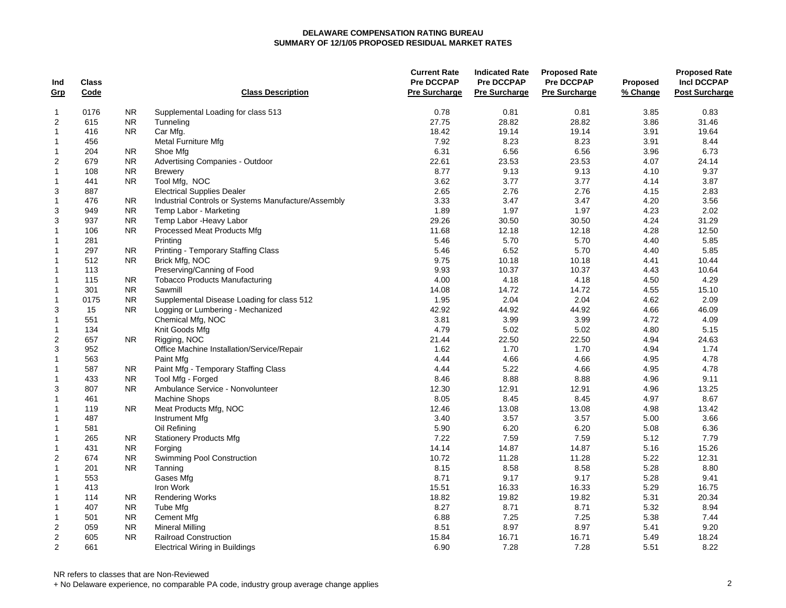| Ind                     | Class |                |                                                     | <b>Current Rate</b><br><b>Pre DCCPAP</b> | <b>Indicated Rate</b><br><b>Pre DCCPAP</b> | <b>Proposed Rate</b><br><b>Pre DCCPAP</b> | <b>Proposed</b> | <b>Proposed Rate</b><br><b>Incl DCCPAP</b> |
|-------------------------|-------|----------------|-----------------------------------------------------|------------------------------------------|--------------------------------------------|-------------------------------------------|-----------------|--------------------------------------------|
| <u>Grp</u>              | Code  |                | <b>Class Description</b>                            | <b>Pre Surcharge</b>                     | <b>Pre Surcharge</b>                       | <b>Pre Surcharge</b>                      | % Change        | <b>Post Surcharge</b>                      |
| 1                       | 0176  | <b>NR</b>      | Supplemental Loading for class 513                  | 0.78                                     | 0.81                                       | 0.81                                      | 3.85            | 0.83                                       |
| $\overline{c}$          | 615   | <b>NR</b>      | Tunneling                                           | 27.75                                    | 28.82                                      | 28.82                                     | 3.86            | 31.46                                      |
| $\mathbf{1}$            | 416   | <b>NR</b>      | Car Mfg.                                            | 18.42                                    | 19.14                                      | 19.14                                     | 3.91            | 19.64                                      |
| 1                       | 456   |                | Metal Furniture Mfg                                 | 7.92                                     | 8.23                                       | 8.23                                      | 3.91            | 8.44                                       |
| 1                       | 204   | <b>NR</b>      | Shoe Mfg                                            | 6.31                                     | 6.56                                       | 6.56                                      | 3.96            | 6.73                                       |
| $\overline{\mathbf{c}}$ | 679   | <b>NR</b>      | Advertising Companies - Outdoor                     | 22.61                                    | 23.53                                      | 23.53                                     | 4.07            | 24.14                                      |
| 1                       | 108   | <b>NR</b>      | <b>Brewery</b>                                      | 8.77                                     | 9.13                                       | 9.13                                      | 4.10            | 9.37                                       |
| 1                       | 441   | <b>NR</b>      | Tool Mfg, NOC                                       | 3.62                                     | 3.77                                       | 3.77                                      | 4.14            | 3.87                                       |
| 3                       | 887   |                | <b>Electrical Supplies Dealer</b>                   | 2.65                                     | 2.76                                       | 2.76                                      | 4.15            | 2.83                                       |
| $\mathbf{1}$            | 476   | <b>NR</b>      | Industrial Controls or Systems Manufacture/Assembly | 3.33                                     | 3.47                                       | 3.47                                      | 4.20            | 3.56                                       |
| 3                       | 949   | <b>NR</b>      | Temp Labor - Marketing                              | 1.89                                     | 1.97                                       | 1.97                                      | 4.23            | 2.02                                       |
| 3                       | 937   | <b>NR</b>      | Temp Labor - Heavy Labor                            | 29.26                                    | 30.50                                      | 30.50                                     | 4.24            | 31.29                                      |
| $\mathbf{1}$            | 106   | <b>NR</b>      | Processed Meat Products Mfg                         | 11.68                                    | 12.18                                      | 12.18                                     | 4.28            | 12.50                                      |
| $\mathbf{1}$            | 281   |                | Printing                                            | 5.46                                     | 5.70                                       | 5.70                                      | 4.40            | 5.85                                       |
| $\mathbf{1}$            | 297   | <b>NR</b>      | <b>Printing - Temporary Staffing Class</b>          | 5.46                                     | 6.52                                       | 5.70                                      | 4.40            | 5.85                                       |
| 1                       | 512   | <b>NR</b>      | Brick Mfg, NOC                                      | 9.75                                     | 10.18                                      | 10.18                                     | 4.41            | 10.44                                      |
| $\mathbf{1}$            | 113   |                | Preserving/Canning of Food                          | 9.93                                     | 10.37                                      | 10.37                                     | 4.43            | 10.64                                      |
| 1                       | 115   | <b>NR</b>      | <b>Tobacco Products Manufacturing</b>               | 4.00                                     | 4.18                                       | 4.18                                      | 4.50            | 4.29                                       |
| $\mathbf{1}$            | 301   | <b>NR</b>      | Sawmill                                             | 14.08                                    | 14.72                                      | 14.72                                     | 4.55            | 15.10                                      |
| 1                       | 0175  | <b>NR</b>      | Supplemental Disease Loading for class 512          | 1.95                                     | 2.04                                       | 2.04                                      | 4.62            | 2.09                                       |
| 3                       | 15    | <b>NR</b>      | Logging or Lumbering - Mechanized                   | 42.92                                    | 44.92                                      | 44.92                                     | 4.66            | 46.09                                      |
| $\mathbf{1}$            | 551   |                | Chemical Mfg, NOC                                   | 3.81                                     | 3.99                                       | 3.99                                      | 4.72            | 4.09                                       |
| $\mathbf{1}$            | 134   |                | Knit Goods Mfg                                      | 4.79                                     | 5.02                                       | 5.02                                      | 4.80            | 5.15                                       |
| $\overline{\mathbf{c}}$ | 657   | N <sub>R</sub> | Rigging, NOC                                        | 21.44                                    | 22.50                                      | 22.50                                     | 4.94            | 24.63                                      |
| 3                       | 952   |                | Office Machine Installation/Service/Repair          | 1.62                                     | 1.70                                       | 1.70                                      | 4.94            | 1.74                                       |
| 1                       | 563   |                | Paint Mfg                                           | 4.44                                     | 4.66                                       | 4.66                                      | 4.95            | 4.78                                       |
| 1                       | 587   | <b>NR</b>      | Paint Mfg - Temporary Staffing Class                | 4.44                                     | 5.22                                       | 4.66                                      | 4.95            | 4.78                                       |
| 1                       | 433   | <b>NR</b>      | Tool Mfg - Forged                                   | 8.46                                     | 8.88                                       | 8.88                                      | 4.96            | 9.11                                       |
| 3                       | 807   | <b>NR</b>      | Ambulance Service - Nonvolunteer                    | 12.30                                    | 12.91                                      | 12.91                                     | 4.96            | 13.25                                      |
| 1                       | 461   |                | <b>Machine Shops</b>                                | 8.05                                     | 8.45                                       | 8.45                                      | 4.97            | 8.67                                       |
| 1                       | 119   | <b>NR</b>      | Meat Products Mfg, NOC                              | 12.46                                    | 13.08                                      | 13.08                                     | 4.98            | 13.42                                      |
| 1                       | 487   |                | Instrument Mfg                                      | 3.40                                     | 3.57                                       | 3.57                                      | 5.00            | 3.66                                       |
| 1                       | 581   |                | Oil Refining                                        | 5.90                                     | 6.20                                       | 6.20                                      | 5.08            | 6.36                                       |
| $\mathbf{1}$            | 265   | NR.            | <b>Stationery Products Mfg</b>                      | 7.22                                     | 7.59                                       | 7.59                                      | 5.12            | 7.79                                       |
| $\mathbf{1}$            | 431   | <b>NR</b>      | Forging                                             | 14.14                                    | 14.87                                      | 14.87                                     | 5.16            | 15.26                                      |
| $\overline{2}$          | 674   | <b>NR</b>      | Swimming Pool Construction                          | 10.72                                    | 11.28                                      | 11.28                                     | 5.22            | 12.31                                      |
| $\mathbf{1}$            | 201   | <b>NR</b>      | Tanning                                             | 8.15                                     | 8.58                                       | 8.58                                      | 5.28            | 8.80                                       |
| $\mathbf{1}$            | 553   |                | Gases Mfg                                           | 8.71                                     | 9.17                                       | 9.17                                      | 5.28            | 9.41                                       |
| $\mathbf{1}$            | 413   |                | Iron Work                                           | 15.51                                    | 16.33                                      | 16.33                                     | 5.29            | 16.75                                      |
| $\mathbf{1}$            | 114   | <b>NR</b>      | <b>Rendering Works</b>                              | 18.82                                    | 19.82                                      | 19.82                                     | 5.31            | 20.34                                      |
| 1                       | 407   | <b>NR</b>      | Tube Mfg                                            | 8.27                                     | 8.71                                       | 8.71                                      | 5.32            | 8.94                                       |
| $\mathbf{1}$            | 501   | <b>NR</b>      | <b>Cement Mfg</b>                                   | 6.88                                     | 7.25                                       | 7.25                                      | 5.38            | 7.44                                       |
| $\boldsymbol{2}$        | 059   | <b>NR</b>      | <b>Mineral Milling</b>                              | 8.51                                     | 8.97                                       | 8.97                                      | 5.41            | 9.20                                       |
| $\overline{c}$          | 605   | <b>NR</b>      | Railroad Construction                               | 15.84                                    | 16.71                                      | 16.71                                     | 5.49            | 18.24                                      |
| 2                       | 661   |                | <b>Electrical Wiring in Buildings</b>               | 6.90                                     | 7.28                                       | 7.28                                      | 5.51            | 8.22                                       |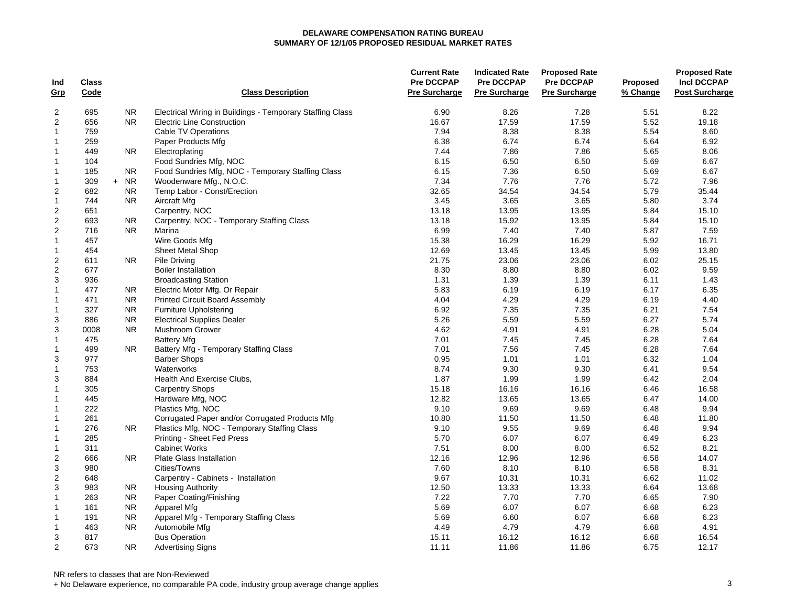| Ind              | <b>Class</b> |           |                                                           | <b>Current Rate</b><br><b>Pre DCCPAP</b> | <b>Indicated Rate</b><br><b>Pre DCCPAP</b> | <b>Proposed Rate</b><br><b>Pre DCCPAP</b> | Proposed | <b>Proposed Rate</b><br><b>Incl DCCPAP</b> |
|------------------|--------------|-----------|-----------------------------------------------------------|------------------------------------------|--------------------------------------------|-------------------------------------------|----------|--------------------------------------------|
| <u>Grp</u>       | Code         |           | <b>Class Description</b>                                  | Pre Surcharge                            | <b>Pre Surcharge</b>                       | <b>Pre Surcharge</b>                      | % Change | <b>Post Surcharge</b>                      |
| 2                | 695          | <b>NR</b> | Electrical Wiring in Buildings - Temporary Staffing Class | 6.90                                     | 8.26                                       | 7.28                                      | 5.51     | 8.22                                       |
| $\overline{2}$   | 656          | <b>NR</b> | <b>Electric Line Construction</b>                         | 16.67                                    | 17.59                                      | 17.59                                     | 5.52     | 19.18                                      |
| $\mathbf{1}$     | 759          |           | Cable TV Operations                                       | 7.94                                     | 8.38                                       | 8.38                                      | 5.54     | 8.60                                       |
| $\mathbf{1}$     | 259          |           | Paper Products Mfg                                        | 6.38                                     | 6.74                                       | 6.74                                      | 5.64     | 6.92                                       |
| $\mathbf{1}$     | 449          | NR.       | Electroplating                                            | 7.44                                     | 7.86                                       | 7.86                                      | 5.65     | 8.06                                       |
| $\mathbf{1}$     | 104          |           | Food Sundries Mfg, NOC                                    | 6.15                                     | 6.50                                       | 6.50                                      | 5.69     | 6.67                                       |
| 1                | 185          | <b>NR</b> | Food Sundries Mfg, NOC - Temporary Staffing Class         | 6.15                                     | 7.36                                       | 6.50                                      | 5.69     | 6.67                                       |
| 1                | 309          | $+ NR$    | Woodenware Mfg., N.O.C.                                   | 7.34                                     | 7.76                                       | 7.76                                      | 5.72     | 7.96                                       |
| $\overline{c}$   | 682          | <b>NR</b> | Temp Labor - Const/Erection                               | 32.65                                    | 34.54                                      | 34.54                                     | 5.79     | 35.44                                      |
| $\mathbf{1}$     | 744          | <b>NR</b> | Aircraft Mfg                                              | 3.45                                     | 3.65                                       | 3.65                                      | 5.80     | 3.74                                       |
| $\overline{c}$   | 651          |           | Carpentry, NOC                                            | 13.18                                    | 13.95                                      | 13.95                                     | 5.84     | 15.10                                      |
| $\boldsymbol{2}$ | 693          | <b>NR</b> | Carpentry, NOC - Temporary Staffing Class                 | 13.18                                    | 15.92                                      | 13.95                                     | 5.84     | 15.10                                      |
| $\overline{c}$   | 716          | <b>NR</b> | Marina                                                    | 6.99                                     | 7.40                                       | 7.40                                      | 5.87     | 7.59                                       |
| $\mathbf{1}$     | 457          |           | Wire Goods Mfg                                            | 15.38                                    | 16.29                                      | 16.29                                     | 5.92     | 16.71                                      |
| 1                | 454          |           | <b>Sheet Metal Shop</b>                                   | 12.69                                    | 13.45                                      | 13.45                                     | 5.99     | 13.80                                      |
| $\overline{2}$   | 611          | NR.       | Pile Driving                                              | 21.75                                    | 23.06                                      | 23.06                                     | 6.02     | 25.15                                      |
| $\overline{2}$   | 677          |           | <b>Boiler Installation</b>                                | 8.30                                     | 8.80                                       | 8.80                                      | 6.02     | 9.59                                       |
| 3                | 936          |           | <b>Broadcasting Station</b>                               | 1.31                                     | 1.39                                       | 1.39                                      | 6.11     | 1.43                                       |
| $\mathbf{1}$     | 477          | NR.       | Electric Motor Mfg. Or Repair                             | 5.83                                     | 6.19                                       | 6.19                                      | 6.17     | 6.35                                       |
| 1                | 471          | NR.       | <b>Printed Circuit Board Assembly</b>                     | 4.04                                     | 4.29                                       | 4.29                                      | 6.19     | 4.40                                       |
| $\mathbf{1}$     | 327          | <b>NR</b> | <b>Furniture Upholstering</b>                             | 6.92                                     | 7.35                                       | 7.35                                      | 6.21     | 7.54                                       |
| 3                | 886          | <b>NR</b> | <b>Electrical Supplies Dealer</b>                         | 5.26                                     | 5.59                                       | 5.59                                      | 6.27     | 5.74                                       |
| 3                | 0008         | <b>NR</b> | Mushroom Grower                                           | 4.62                                     | 4.91                                       | 4.91                                      | 6.28     | 5.04                                       |
| 1                | 475          |           | <b>Battery Mfg</b>                                        | 7.01                                     | 7.45                                       | 7.45                                      | 6.28     | 7.64                                       |
| $\mathbf{1}$     | 499          | NR.       | Battery Mfg - Temporary Staffing Class                    | 7.01                                     | 7.56                                       | 7.45                                      | 6.28     | 7.64                                       |
| 3                | 977          |           | <b>Barber Shops</b>                                       | 0.95                                     | 1.01                                       | 1.01                                      | 6.32     | 1.04                                       |
| $\mathbf{1}$     | 753          |           | Waterworks                                                | 8.74                                     | 9.30                                       | 9.30                                      | 6.41     | 9.54                                       |
| 3                | 884          |           | Health And Exercise Clubs,                                | 1.87                                     | 1.99                                       | 1.99                                      | 6.42     | 2.04                                       |
| $\mathbf{1}$     | 305          |           | <b>Carpentry Shops</b>                                    | 15.18                                    | 16.16                                      | 16.16                                     | 6.46     | 16.58                                      |
| 1                | 445          |           | Hardware Mfg, NOC                                         | 12.82                                    | 13.65                                      | 13.65                                     | 6.47     | 14.00                                      |
| 1                | 222          |           | Plastics Mfg, NOC                                         | 9.10                                     | 9.69                                       | 9.69                                      | 6.48     | 9.94                                       |
| $\mathbf{1}$     | 261          |           | Corrugated Paper and/or Corrugated Products Mfg           | 10.80                                    | 11.50                                      | 11.50                                     | 6.48     | 11.80                                      |
| $\mathbf{1}$     | 276          | NR.       | Plastics Mfg, NOC - Temporary Staffing Class              | 9.10                                     | 9.55                                       | 9.69                                      | 6.48     | 9.94                                       |
| $\mathbf{1}$     | 285          |           | Printing - Sheet Fed Press                                | 5.70                                     | 6.07                                       | 6.07                                      | 6.49     | 6.23                                       |
| $\mathbf{1}$     | 311          |           | <b>Cabinet Works</b>                                      | 7.51                                     | 8.00                                       | 8.00                                      | 6.52     | 8.21                                       |
| $\boldsymbol{2}$ | 666          | NR.       | <b>Plate Glass Installation</b>                           | 12.16                                    | 12.96                                      | 12.96                                     | 6.58     | 14.07                                      |
| 3                | 980          |           | Cities/Towns                                              | 7.60                                     | 8.10                                       | 8.10                                      | 6.58     | 8.31                                       |
| $\overline{c}$   | 648          |           | Carpentry - Cabinets - Installation                       | 9.67                                     | 10.31                                      | 10.31                                     | 6.62     | 11.02                                      |
| 3                | 983          | NR.       | <b>Housing Authority</b>                                  | 12.50                                    | 13.33                                      | 13.33                                     | 6.64     | 13.68                                      |
| 1                | 263          | NR.       | Paper Coating/Finishing                                   | 7.22                                     | 7.70                                       | 7.70                                      | 6.65     | 7.90                                       |
| $\mathbf{1}$     | 161          | <b>NR</b> | Apparel Mfg                                               | 5.69                                     | 6.07                                       | 6.07                                      | 6.68     | 6.23                                       |
| 1                | 191          | <b>NR</b> | Apparel Mfg - Temporary Staffing Class                    | 5.69                                     | 6.60                                       | 6.07                                      | 6.68     | 6.23                                       |
| $\mathbf{1}$     | 463          | <b>NR</b> | Automobile Mfg                                            | 4.49                                     | 4.79                                       | 4.79                                      | 6.68     | 4.91                                       |
| 3                | 817          |           | <b>Bus Operation</b>                                      | 15.11                                    | 16.12                                      | 16.12                                     | 6.68     | 16.54                                      |
| 2                | 673          | <b>NR</b> | <b>Advertising Signs</b>                                  | 11.11                                    | 11.86                                      | 11.86                                     | 6.75     | 12.17                                      |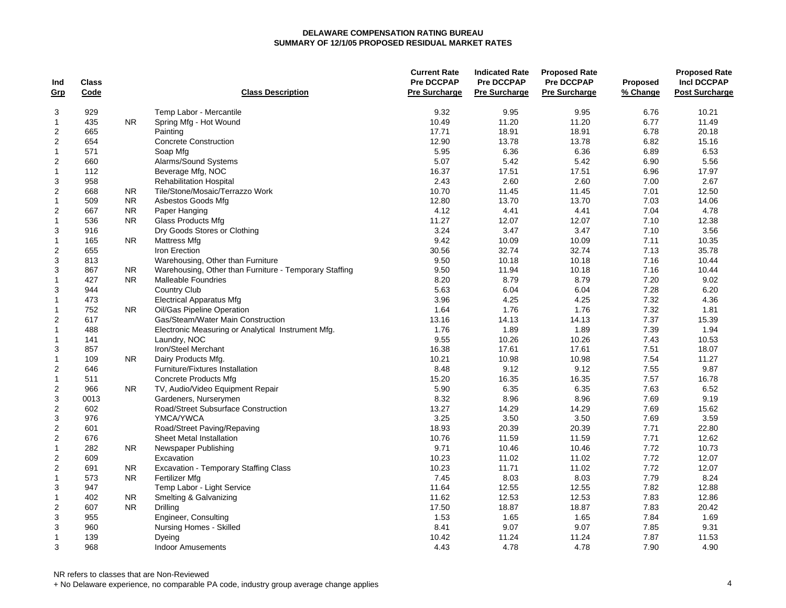| <b>Pre Surcharge</b><br>Code<br><b>Class Description</b><br><b>Pre Surcharge</b><br><b>Pre Surcharge</b><br>% Change<br><b>Post Surcharge</b><br><u>Grp</u><br>929<br>Temp Labor - Mercantile<br>9.32<br>9.95<br>9.95<br>6.76<br>10.21<br>3<br>$\mathbf{1}$<br>435<br><b>NR</b><br>Spring Mfg - Hot Wound<br>10.49<br>11.20<br>11.20<br>6.77<br>11.49<br>$\boldsymbol{2}$<br>18.91<br>18.91<br>6.78<br>665<br>17.71<br>20.18<br>Painting<br>$\boldsymbol{2}$<br>654<br><b>Concrete Construction</b><br>12.90<br>13.78<br>13.78<br>6.82<br>15.16<br>$\mathbf{1}$<br>6.36<br>6.36<br>6.89<br>6.53<br>571<br>Soap Mfg<br>5.95<br>$\boldsymbol{2}$<br>Alarms/Sound Systems<br>5.42<br>660<br>5.07<br>5.42<br>6.90<br>5.56<br>Beverage Mfg, NOC<br>17.51<br>17.51<br>6.96<br>17.97<br>$\mathbf{1}$<br>112<br>16.37<br>2.60<br>7.00<br>3<br>958<br><b>Rehabilitation Hospital</b><br>2.43<br>2.60<br>2.67<br>$\boldsymbol{2}$<br>Tile/Stone/Mosaic/Terrazzo Work<br>7.01<br>668<br><b>NR</b><br>10.70<br>11.45<br>11.45<br>12.50<br>509<br><b>NR</b><br>13.70<br>13.70<br>7.03<br>14.06<br>$\mathbf{1}$<br>Asbestos Goods Mfg<br>12.80<br>$\overline{c}$<br>667<br><b>NR</b><br>4.12<br>4.41<br>4.41<br>7.04<br>4.78<br>Paper Hanging<br>$\mathbf{1}$<br>536<br><b>NR</b><br>11.27<br>12.07<br>12.07<br>7.10<br>12.38<br>Glass Products Mfg<br>3<br>3.24<br>3.47<br>3.47<br>7.10<br>3.56<br>916<br>Dry Goods Stores or Clothing<br>$\mathbf{1}$<br>165<br>9.42<br>10.09<br>10.09<br>7.11<br>10.35<br><b>NR</b><br>Mattress Mfg<br>$\overline{2}$<br>655<br>32.74<br>7.13<br>35.78<br>Iron Erection<br>30.56<br>32.74<br>3<br>9.50<br>10.18<br>7.16<br>10.44<br>813<br>Warehousing, Other than Furniture<br>10.18<br>3<br>867<br>Warehousing, Other than Furniture - Temporary Staffing<br>9.50<br>11.94<br>10.18<br>7.16<br>10.44<br>N <sub>R</sub><br>$\mathbf{1}$<br>427<br><b>NR</b><br>8.20<br>8.79<br>8.79<br>7.20<br>9.02<br><b>Malleable Foundries</b><br>3<br>944<br><b>Country Club</b><br>5.63<br>6.04<br>6.04<br>7.28<br>6.20<br>$\mathbf{1}$<br>473<br><b>Electrical Apparatus Mfg</b><br>3.96<br>4.25<br>4.25<br>7.32<br>4.36<br>7.32<br>752<br><b>NR</b><br>Oil/Gas Pipeline Operation<br>1.64<br>1.76<br>1.76<br>1.81<br>$\mathbf{1}$<br>$\overline{2}$<br>7.37<br>617<br>Gas/Steam/Water Main Construction<br>13.16<br>14.13<br>14.13<br>15.39<br>7.39<br>488<br>1.76<br>1.89<br>1.89<br>1.94<br>Electronic Measuring or Analytical Instrument Mfg.<br>1<br>7.43<br>Laundry, NOC<br>9.55<br>10.26<br>10.26<br>10.53<br>1<br>141<br>7.51<br>3<br>857<br>Iron/Steel Merchant<br>16.38<br>17.61<br>17.61<br>18.07<br>10.98<br>10.98<br>7.54<br>$\mathbf{1}$<br>109<br><b>NR</b><br>Dairy Products Mfg.<br>10.21<br>11.27<br>9.12<br>9.12<br>9.87<br>$\overline{c}$<br>646<br>Furniture/Fixtures Installation<br>8.48<br>7.55<br>16.35<br>16.35<br>7.57<br>$\mathbf{1}$<br>511<br>15.20<br>16.78<br>Concrete Products Mfg<br>$\boldsymbol{2}$<br>5.90<br>6.35<br>6.35<br>7.63<br>6.52<br>966<br>N <sub>R</sub><br>TV, Audio/Video Equipment Repair<br>3<br>8.96<br>0013<br>Gardeners, Nurserymen<br>8.32<br>8.96<br>7.69<br>9.19<br>$\boldsymbol{2}$<br>7.69<br>602<br>Road/Street Subsurface Construction<br>13.27<br>14.29<br>14.29<br>15.62<br>3<br>976<br>3.25<br>3.50<br>3.50<br>7.69<br>3.59<br>YMCA/YWCA<br>$\boldsymbol{2}$<br>18.93<br>20.39<br>20.39<br>7.71<br>22.80<br>601<br>Road/Street Paving/Repaving<br>$\boldsymbol{2}$<br>7.71<br>12.62<br>676<br>Sheet Metal Installation<br>10.76<br>11.59<br>11.59<br>7.72<br>$\mathbf{1}$<br>282<br>9.71<br>10.46<br>10.46<br>10.73<br><b>NR</b><br>Newspaper Publishing<br>$\overline{\mathbf{c}}$<br>10.23<br>11.02<br>11.02<br>7.72<br>12.07<br>609<br>Excavation<br>$\boldsymbol{2}$<br>7.72<br>10.23<br>11.71<br>11.02<br>12.07<br>691<br>NR.<br>Excavation - Temporary Staffing Class<br>7.45<br>8.03<br>8.03<br>7.79<br>8.24<br>573<br><b>NR</b><br>Fertilizer Mfg<br>1<br>7.82<br>3<br>Temp Labor - Light Service<br>12.55<br>12.55<br>12.88<br>947<br>11.64<br>12.53<br>12.53<br>7.83<br>402<br>NR.<br>Smelting & Galvanizing<br>11.62<br>12.86<br>1<br>$\overline{2}$<br>607<br><b>NR</b><br>17.50<br>18.87<br>18.87<br>7.83<br>20.42<br>Drilling<br>3<br>955<br>Engineer, Consulting<br>1.53<br>1.65<br>1.65<br>7.84<br>1.69<br>9.07<br>9.07<br>3<br>960<br>Nursing Homes - Skilled<br>8.41<br>7.85<br>9.31<br>7.87<br>$\mathbf{1}$<br>139<br>11.24<br>11.24<br>11.53<br>Dyeing<br>10.42<br>3<br>968<br>4.43<br>4.78<br>4.78<br>7.90<br>4.90<br><b>Indoor Amusements</b> |     |       |  | <b>Current Rate</b><br><b>Pre DCCPAP</b> | <b>Indicated Rate</b> | <b>Proposed Rate</b><br><b>Pre DCCPAP</b> |                 | <b>Proposed Rate</b> |
|--------------------------------------------------------------------------------------------------------------------------------------------------------------------------------------------------------------------------------------------------------------------------------------------------------------------------------------------------------------------------------------------------------------------------------------------------------------------------------------------------------------------------------------------------------------------------------------------------------------------------------------------------------------------------------------------------------------------------------------------------------------------------------------------------------------------------------------------------------------------------------------------------------------------------------------------------------------------------------------------------------------------------------------------------------------------------------------------------------------------------------------------------------------------------------------------------------------------------------------------------------------------------------------------------------------------------------------------------------------------------------------------------------------------------------------------------------------------------------------------------------------------------------------------------------------------------------------------------------------------------------------------------------------------------------------------------------------------------------------------------------------------------------------------------------------------------------------------------------------------------------------------------------------------------------------------------------------------------------------------------------------------------------------------------------------------------------------------------------------------------------------------------------------------------------------------------------------------------------------------------------------------------------------------------------------------------------------------------------------------------------------------------------------------------------------------------------------------------------------------------------------------------------------------------------------------------------------------------------------------------------------------------------------------------------------------------------------------------------------------------------------------------------------------------------------------------------------------------------------------------------------------------------------------------------------------------------------------------------------------------------------------------------------------------------------------------------------------------------------------------------------------------------------------------------------------------------------------------------------------------------------------------------------------------------------------------------------------------------------------------------------------------------------------------------------------------------------------------------------------------------------------------------------------------------------------------------------------------------------------------------------------------------------------------------------------------------------------------------------------------------------------------------------------------------------------------------------------------------------------------------------------------------------------------------------------------------------------------------------------------------------------------------------------------------------------------------------------------------------------------------------------------------------------------------------------------------------------------------------------------------------------------------------------------------------------------------------------------------------------------------------------------------------------------------------------------------------------------------------------------------------------------------------------------|-----|-------|--|------------------------------------------|-----------------------|-------------------------------------------|-----------------|----------------------|
|                                                                                                                                                                                                                                                                                                                                                                                                                                                                                                                                                                                                                                                                                                                                                                                                                                                                                                                                                                                                                                                                                                                                                                                                                                                                                                                                                                                                                                                                                                                                                                                                                                                                                                                                                                                                                                                                                                                                                                                                                                                                                                                                                                                                                                                                                                                                                                                                                                                                                                                                                                                                                                                                                                                                                                                                                                                                                                                                                                                                                                                                                                                                                                                                                                                                                                                                                                                                                                                                                                                                                                                                                                                                                                                                                                                                                                                                                                                                                                                                                                                                                                                                                                                                                                                                                                                                                                                                                                                                                                                                                  | Ind | Class |  |                                          | <b>Pre DCCPAP</b>     |                                           | <b>Proposed</b> | <b>Incl DCCPAP</b>   |
|                                                                                                                                                                                                                                                                                                                                                                                                                                                                                                                                                                                                                                                                                                                                                                                                                                                                                                                                                                                                                                                                                                                                                                                                                                                                                                                                                                                                                                                                                                                                                                                                                                                                                                                                                                                                                                                                                                                                                                                                                                                                                                                                                                                                                                                                                                                                                                                                                                                                                                                                                                                                                                                                                                                                                                                                                                                                                                                                                                                                                                                                                                                                                                                                                                                                                                                                                                                                                                                                                                                                                                                                                                                                                                                                                                                                                                                                                                                                                                                                                                                                                                                                                                                                                                                                                                                                                                                                                                                                                                                                                  |     |       |  |                                          |                       |                                           |                 |                      |
|                                                                                                                                                                                                                                                                                                                                                                                                                                                                                                                                                                                                                                                                                                                                                                                                                                                                                                                                                                                                                                                                                                                                                                                                                                                                                                                                                                                                                                                                                                                                                                                                                                                                                                                                                                                                                                                                                                                                                                                                                                                                                                                                                                                                                                                                                                                                                                                                                                                                                                                                                                                                                                                                                                                                                                                                                                                                                                                                                                                                                                                                                                                                                                                                                                                                                                                                                                                                                                                                                                                                                                                                                                                                                                                                                                                                                                                                                                                                                                                                                                                                                                                                                                                                                                                                                                                                                                                                                                                                                                                                                  |     |       |  |                                          |                       |                                           |                 |                      |
|                                                                                                                                                                                                                                                                                                                                                                                                                                                                                                                                                                                                                                                                                                                                                                                                                                                                                                                                                                                                                                                                                                                                                                                                                                                                                                                                                                                                                                                                                                                                                                                                                                                                                                                                                                                                                                                                                                                                                                                                                                                                                                                                                                                                                                                                                                                                                                                                                                                                                                                                                                                                                                                                                                                                                                                                                                                                                                                                                                                                                                                                                                                                                                                                                                                                                                                                                                                                                                                                                                                                                                                                                                                                                                                                                                                                                                                                                                                                                                                                                                                                                                                                                                                                                                                                                                                                                                                                                                                                                                                                                  |     |       |  |                                          |                       |                                           |                 |                      |
|                                                                                                                                                                                                                                                                                                                                                                                                                                                                                                                                                                                                                                                                                                                                                                                                                                                                                                                                                                                                                                                                                                                                                                                                                                                                                                                                                                                                                                                                                                                                                                                                                                                                                                                                                                                                                                                                                                                                                                                                                                                                                                                                                                                                                                                                                                                                                                                                                                                                                                                                                                                                                                                                                                                                                                                                                                                                                                                                                                                                                                                                                                                                                                                                                                                                                                                                                                                                                                                                                                                                                                                                                                                                                                                                                                                                                                                                                                                                                                                                                                                                                                                                                                                                                                                                                                                                                                                                                                                                                                                                                  |     |       |  |                                          |                       |                                           |                 |                      |
|                                                                                                                                                                                                                                                                                                                                                                                                                                                                                                                                                                                                                                                                                                                                                                                                                                                                                                                                                                                                                                                                                                                                                                                                                                                                                                                                                                                                                                                                                                                                                                                                                                                                                                                                                                                                                                                                                                                                                                                                                                                                                                                                                                                                                                                                                                                                                                                                                                                                                                                                                                                                                                                                                                                                                                                                                                                                                                                                                                                                                                                                                                                                                                                                                                                                                                                                                                                                                                                                                                                                                                                                                                                                                                                                                                                                                                                                                                                                                                                                                                                                                                                                                                                                                                                                                                                                                                                                                                                                                                                                                  |     |       |  |                                          |                       |                                           |                 |                      |
|                                                                                                                                                                                                                                                                                                                                                                                                                                                                                                                                                                                                                                                                                                                                                                                                                                                                                                                                                                                                                                                                                                                                                                                                                                                                                                                                                                                                                                                                                                                                                                                                                                                                                                                                                                                                                                                                                                                                                                                                                                                                                                                                                                                                                                                                                                                                                                                                                                                                                                                                                                                                                                                                                                                                                                                                                                                                                                                                                                                                                                                                                                                                                                                                                                                                                                                                                                                                                                                                                                                                                                                                                                                                                                                                                                                                                                                                                                                                                                                                                                                                                                                                                                                                                                                                                                                                                                                                                                                                                                                                                  |     |       |  |                                          |                       |                                           |                 |                      |
|                                                                                                                                                                                                                                                                                                                                                                                                                                                                                                                                                                                                                                                                                                                                                                                                                                                                                                                                                                                                                                                                                                                                                                                                                                                                                                                                                                                                                                                                                                                                                                                                                                                                                                                                                                                                                                                                                                                                                                                                                                                                                                                                                                                                                                                                                                                                                                                                                                                                                                                                                                                                                                                                                                                                                                                                                                                                                                                                                                                                                                                                                                                                                                                                                                                                                                                                                                                                                                                                                                                                                                                                                                                                                                                                                                                                                                                                                                                                                                                                                                                                                                                                                                                                                                                                                                                                                                                                                                                                                                                                                  |     |       |  |                                          |                       |                                           |                 |                      |
|                                                                                                                                                                                                                                                                                                                                                                                                                                                                                                                                                                                                                                                                                                                                                                                                                                                                                                                                                                                                                                                                                                                                                                                                                                                                                                                                                                                                                                                                                                                                                                                                                                                                                                                                                                                                                                                                                                                                                                                                                                                                                                                                                                                                                                                                                                                                                                                                                                                                                                                                                                                                                                                                                                                                                                                                                                                                                                                                                                                                                                                                                                                                                                                                                                                                                                                                                                                                                                                                                                                                                                                                                                                                                                                                                                                                                                                                                                                                                                                                                                                                                                                                                                                                                                                                                                                                                                                                                                                                                                                                                  |     |       |  |                                          |                       |                                           |                 |                      |
|                                                                                                                                                                                                                                                                                                                                                                                                                                                                                                                                                                                                                                                                                                                                                                                                                                                                                                                                                                                                                                                                                                                                                                                                                                                                                                                                                                                                                                                                                                                                                                                                                                                                                                                                                                                                                                                                                                                                                                                                                                                                                                                                                                                                                                                                                                                                                                                                                                                                                                                                                                                                                                                                                                                                                                                                                                                                                                                                                                                                                                                                                                                                                                                                                                                                                                                                                                                                                                                                                                                                                                                                                                                                                                                                                                                                                                                                                                                                                                                                                                                                                                                                                                                                                                                                                                                                                                                                                                                                                                                                                  |     |       |  |                                          |                       |                                           |                 |                      |
|                                                                                                                                                                                                                                                                                                                                                                                                                                                                                                                                                                                                                                                                                                                                                                                                                                                                                                                                                                                                                                                                                                                                                                                                                                                                                                                                                                                                                                                                                                                                                                                                                                                                                                                                                                                                                                                                                                                                                                                                                                                                                                                                                                                                                                                                                                                                                                                                                                                                                                                                                                                                                                                                                                                                                                                                                                                                                                                                                                                                                                                                                                                                                                                                                                                                                                                                                                                                                                                                                                                                                                                                                                                                                                                                                                                                                                                                                                                                                                                                                                                                                                                                                                                                                                                                                                                                                                                                                                                                                                                                                  |     |       |  |                                          |                       |                                           |                 |                      |
|                                                                                                                                                                                                                                                                                                                                                                                                                                                                                                                                                                                                                                                                                                                                                                                                                                                                                                                                                                                                                                                                                                                                                                                                                                                                                                                                                                                                                                                                                                                                                                                                                                                                                                                                                                                                                                                                                                                                                                                                                                                                                                                                                                                                                                                                                                                                                                                                                                                                                                                                                                                                                                                                                                                                                                                                                                                                                                                                                                                                                                                                                                                                                                                                                                                                                                                                                                                                                                                                                                                                                                                                                                                                                                                                                                                                                                                                                                                                                                                                                                                                                                                                                                                                                                                                                                                                                                                                                                                                                                                                                  |     |       |  |                                          |                       |                                           |                 |                      |
|                                                                                                                                                                                                                                                                                                                                                                                                                                                                                                                                                                                                                                                                                                                                                                                                                                                                                                                                                                                                                                                                                                                                                                                                                                                                                                                                                                                                                                                                                                                                                                                                                                                                                                                                                                                                                                                                                                                                                                                                                                                                                                                                                                                                                                                                                                                                                                                                                                                                                                                                                                                                                                                                                                                                                                                                                                                                                                                                                                                                                                                                                                                                                                                                                                                                                                                                                                                                                                                                                                                                                                                                                                                                                                                                                                                                                                                                                                                                                                                                                                                                                                                                                                                                                                                                                                                                                                                                                                                                                                                                                  |     |       |  |                                          |                       |                                           |                 |                      |
|                                                                                                                                                                                                                                                                                                                                                                                                                                                                                                                                                                                                                                                                                                                                                                                                                                                                                                                                                                                                                                                                                                                                                                                                                                                                                                                                                                                                                                                                                                                                                                                                                                                                                                                                                                                                                                                                                                                                                                                                                                                                                                                                                                                                                                                                                                                                                                                                                                                                                                                                                                                                                                                                                                                                                                                                                                                                                                                                                                                                                                                                                                                                                                                                                                                                                                                                                                                                                                                                                                                                                                                                                                                                                                                                                                                                                                                                                                                                                                                                                                                                                                                                                                                                                                                                                                                                                                                                                                                                                                                                                  |     |       |  |                                          |                       |                                           |                 |                      |
|                                                                                                                                                                                                                                                                                                                                                                                                                                                                                                                                                                                                                                                                                                                                                                                                                                                                                                                                                                                                                                                                                                                                                                                                                                                                                                                                                                                                                                                                                                                                                                                                                                                                                                                                                                                                                                                                                                                                                                                                                                                                                                                                                                                                                                                                                                                                                                                                                                                                                                                                                                                                                                                                                                                                                                                                                                                                                                                                                                                                                                                                                                                                                                                                                                                                                                                                                                                                                                                                                                                                                                                                                                                                                                                                                                                                                                                                                                                                                                                                                                                                                                                                                                                                                                                                                                                                                                                                                                                                                                                                                  |     |       |  |                                          |                       |                                           |                 |                      |
|                                                                                                                                                                                                                                                                                                                                                                                                                                                                                                                                                                                                                                                                                                                                                                                                                                                                                                                                                                                                                                                                                                                                                                                                                                                                                                                                                                                                                                                                                                                                                                                                                                                                                                                                                                                                                                                                                                                                                                                                                                                                                                                                                                                                                                                                                                                                                                                                                                                                                                                                                                                                                                                                                                                                                                                                                                                                                                                                                                                                                                                                                                                                                                                                                                                                                                                                                                                                                                                                                                                                                                                                                                                                                                                                                                                                                                                                                                                                                                                                                                                                                                                                                                                                                                                                                                                                                                                                                                                                                                                                                  |     |       |  |                                          |                       |                                           |                 |                      |
|                                                                                                                                                                                                                                                                                                                                                                                                                                                                                                                                                                                                                                                                                                                                                                                                                                                                                                                                                                                                                                                                                                                                                                                                                                                                                                                                                                                                                                                                                                                                                                                                                                                                                                                                                                                                                                                                                                                                                                                                                                                                                                                                                                                                                                                                                                                                                                                                                                                                                                                                                                                                                                                                                                                                                                                                                                                                                                                                                                                                                                                                                                                                                                                                                                                                                                                                                                                                                                                                                                                                                                                                                                                                                                                                                                                                                                                                                                                                                                                                                                                                                                                                                                                                                                                                                                                                                                                                                                                                                                                                                  |     |       |  |                                          |                       |                                           |                 |                      |
|                                                                                                                                                                                                                                                                                                                                                                                                                                                                                                                                                                                                                                                                                                                                                                                                                                                                                                                                                                                                                                                                                                                                                                                                                                                                                                                                                                                                                                                                                                                                                                                                                                                                                                                                                                                                                                                                                                                                                                                                                                                                                                                                                                                                                                                                                                                                                                                                                                                                                                                                                                                                                                                                                                                                                                                                                                                                                                                                                                                                                                                                                                                                                                                                                                                                                                                                                                                                                                                                                                                                                                                                                                                                                                                                                                                                                                                                                                                                                                                                                                                                                                                                                                                                                                                                                                                                                                                                                                                                                                                                                  |     |       |  |                                          |                       |                                           |                 |                      |
|                                                                                                                                                                                                                                                                                                                                                                                                                                                                                                                                                                                                                                                                                                                                                                                                                                                                                                                                                                                                                                                                                                                                                                                                                                                                                                                                                                                                                                                                                                                                                                                                                                                                                                                                                                                                                                                                                                                                                                                                                                                                                                                                                                                                                                                                                                                                                                                                                                                                                                                                                                                                                                                                                                                                                                                                                                                                                                                                                                                                                                                                                                                                                                                                                                                                                                                                                                                                                                                                                                                                                                                                                                                                                                                                                                                                                                                                                                                                                                                                                                                                                                                                                                                                                                                                                                                                                                                                                                                                                                                                                  |     |       |  |                                          |                       |                                           |                 |                      |
|                                                                                                                                                                                                                                                                                                                                                                                                                                                                                                                                                                                                                                                                                                                                                                                                                                                                                                                                                                                                                                                                                                                                                                                                                                                                                                                                                                                                                                                                                                                                                                                                                                                                                                                                                                                                                                                                                                                                                                                                                                                                                                                                                                                                                                                                                                                                                                                                                                                                                                                                                                                                                                                                                                                                                                                                                                                                                                                                                                                                                                                                                                                                                                                                                                                                                                                                                                                                                                                                                                                                                                                                                                                                                                                                                                                                                                                                                                                                                                                                                                                                                                                                                                                                                                                                                                                                                                                                                                                                                                                                                  |     |       |  |                                          |                       |                                           |                 |                      |
|                                                                                                                                                                                                                                                                                                                                                                                                                                                                                                                                                                                                                                                                                                                                                                                                                                                                                                                                                                                                                                                                                                                                                                                                                                                                                                                                                                                                                                                                                                                                                                                                                                                                                                                                                                                                                                                                                                                                                                                                                                                                                                                                                                                                                                                                                                                                                                                                                                                                                                                                                                                                                                                                                                                                                                                                                                                                                                                                                                                                                                                                                                                                                                                                                                                                                                                                                                                                                                                                                                                                                                                                                                                                                                                                                                                                                                                                                                                                                                                                                                                                                                                                                                                                                                                                                                                                                                                                                                                                                                                                                  |     |       |  |                                          |                       |                                           |                 |                      |
|                                                                                                                                                                                                                                                                                                                                                                                                                                                                                                                                                                                                                                                                                                                                                                                                                                                                                                                                                                                                                                                                                                                                                                                                                                                                                                                                                                                                                                                                                                                                                                                                                                                                                                                                                                                                                                                                                                                                                                                                                                                                                                                                                                                                                                                                                                                                                                                                                                                                                                                                                                                                                                                                                                                                                                                                                                                                                                                                                                                                                                                                                                                                                                                                                                                                                                                                                                                                                                                                                                                                                                                                                                                                                                                                                                                                                                                                                                                                                                                                                                                                                                                                                                                                                                                                                                                                                                                                                                                                                                                                                  |     |       |  |                                          |                       |                                           |                 |                      |
|                                                                                                                                                                                                                                                                                                                                                                                                                                                                                                                                                                                                                                                                                                                                                                                                                                                                                                                                                                                                                                                                                                                                                                                                                                                                                                                                                                                                                                                                                                                                                                                                                                                                                                                                                                                                                                                                                                                                                                                                                                                                                                                                                                                                                                                                                                                                                                                                                                                                                                                                                                                                                                                                                                                                                                                                                                                                                                                                                                                                                                                                                                                                                                                                                                                                                                                                                                                                                                                                                                                                                                                                                                                                                                                                                                                                                                                                                                                                                                                                                                                                                                                                                                                                                                                                                                                                                                                                                                                                                                                                                  |     |       |  |                                          |                       |                                           |                 |                      |
|                                                                                                                                                                                                                                                                                                                                                                                                                                                                                                                                                                                                                                                                                                                                                                                                                                                                                                                                                                                                                                                                                                                                                                                                                                                                                                                                                                                                                                                                                                                                                                                                                                                                                                                                                                                                                                                                                                                                                                                                                                                                                                                                                                                                                                                                                                                                                                                                                                                                                                                                                                                                                                                                                                                                                                                                                                                                                                                                                                                                                                                                                                                                                                                                                                                                                                                                                                                                                                                                                                                                                                                                                                                                                                                                                                                                                                                                                                                                                                                                                                                                                                                                                                                                                                                                                                                                                                                                                                                                                                                                                  |     |       |  |                                          |                       |                                           |                 |                      |
|                                                                                                                                                                                                                                                                                                                                                                                                                                                                                                                                                                                                                                                                                                                                                                                                                                                                                                                                                                                                                                                                                                                                                                                                                                                                                                                                                                                                                                                                                                                                                                                                                                                                                                                                                                                                                                                                                                                                                                                                                                                                                                                                                                                                                                                                                                                                                                                                                                                                                                                                                                                                                                                                                                                                                                                                                                                                                                                                                                                                                                                                                                                                                                                                                                                                                                                                                                                                                                                                                                                                                                                                                                                                                                                                                                                                                                                                                                                                                                                                                                                                                                                                                                                                                                                                                                                                                                                                                                                                                                                                                  |     |       |  |                                          |                       |                                           |                 |                      |
|                                                                                                                                                                                                                                                                                                                                                                                                                                                                                                                                                                                                                                                                                                                                                                                                                                                                                                                                                                                                                                                                                                                                                                                                                                                                                                                                                                                                                                                                                                                                                                                                                                                                                                                                                                                                                                                                                                                                                                                                                                                                                                                                                                                                                                                                                                                                                                                                                                                                                                                                                                                                                                                                                                                                                                                                                                                                                                                                                                                                                                                                                                                                                                                                                                                                                                                                                                                                                                                                                                                                                                                                                                                                                                                                                                                                                                                                                                                                                                                                                                                                                                                                                                                                                                                                                                                                                                                                                                                                                                                                                  |     |       |  |                                          |                       |                                           |                 |                      |
|                                                                                                                                                                                                                                                                                                                                                                                                                                                                                                                                                                                                                                                                                                                                                                                                                                                                                                                                                                                                                                                                                                                                                                                                                                                                                                                                                                                                                                                                                                                                                                                                                                                                                                                                                                                                                                                                                                                                                                                                                                                                                                                                                                                                                                                                                                                                                                                                                                                                                                                                                                                                                                                                                                                                                                                                                                                                                                                                                                                                                                                                                                                                                                                                                                                                                                                                                                                                                                                                                                                                                                                                                                                                                                                                                                                                                                                                                                                                                                                                                                                                                                                                                                                                                                                                                                                                                                                                                                                                                                                                                  |     |       |  |                                          |                       |                                           |                 |                      |
|                                                                                                                                                                                                                                                                                                                                                                                                                                                                                                                                                                                                                                                                                                                                                                                                                                                                                                                                                                                                                                                                                                                                                                                                                                                                                                                                                                                                                                                                                                                                                                                                                                                                                                                                                                                                                                                                                                                                                                                                                                                                                                                                                                                                                                                                                                                                                                                                                                                                                                                                                                                                                                                                                                                                                                                                                                                                                                                                                                                                                                                                                                                                                                                                                                                                                                                                                                                                                                                                                                                                                                                                                                                                                                                                                                                                                                                                                                                                                                                                                                                                                                                                                                                                                                                                                                                                                                                                                                                                                                                                                  |     |       |  |                                          |                       |                                           |                 |                      |
|                                                                                                                                                                                                                                                                                                                                                                                                                                                                                                                                                                                                                                                                                                                                                                                                                                                                                                                                                                                                                                                                                                                                                                                                                                                                                                                                                                                                                                                                                                                                                                                                                                                                                                                                                                                                                                                                                                                                                                                                                                                                                                                                                                                                                                                                                                                                                                                                                                                                                                                                                                                                                                                                                                                                                                                                                                                                                                                                                                                                                                                                                                                                                                                                                                                                                                                                                                                                                                                                                                                                                                                                                                                                                                                                                                                                                                                                                                                                                                                                                                                                                                                                                                                                                                                                                                                                                                                                                                                                                                                                                  |     |       |  |                                          |                       |                                           |                 |                      |
|                                                                                                                                                                                                                                                                                                                                                                                                                                                                                                                                                                                                                                                                                                                                                                                                                                                                                                                                                                                                                                                                                                                                                                                                                                                                                                                                                                                                                                                                                                                                                                                                                                                                                                                                                                                                                                                                                                                                                                                                                                                                                                                                                                                                                                                                                                                                                                                                                                                                                                                                                                                                                                                                                                                                                                                                                                                                                                                                                                                                                                                                                                                                                                                                                                                                                                                                                                                                                                                                                                                                                                                                                                                                                                                                                                                                                                                                                                                                                                                                                                                                                                                                                                                                                                                                                                                                                                                                                                                                                                                                                  |     |       |  |                                          |                       |                                           |                 |                      |
|                                                                                                                                                                                                                                                                                                                                                                                                                                                                                                                                                                                                                                                                                                                                                                                                                                                                                                                                                                                                                                                                                                                                                                                                                                                                                                                                                                                                                                                                                                                                                                                                                                                                                                                                                                                                                                                                                                                                                                                                                                                                                                                                                                                                                                                                                                                                                                                                                                                                                                                                                                                                                                                                                                                                                                                                                                                                                                                                                                                                                                                                                                                                                                                                                                                                                                                                                                                                                                                                                                                                                                                                                                                                                                                                                                                                                                                                                                                                                                                                                                                                                                                                                                                                                                                                                                                                                                                                                                                                                                                                                  |     |       |  |                                          |                       |                                           |                 |                      |
|                                                                                                                                                                                                                                                                                                                                                                                                                                                                                                                                                                                                                                                                                                                                                                                                                                                                                                                                                                                                                                                                                                                                                                                                                                                                                                                                                                                                                                                                                                                                                                                                                                                                                                                                                                                                                                                                                                                                                                                                                                                                                                                                                                                                                                                                                                                                                                                                                                                                                                                                                                                                                                                                                                                                                                                                                                                                                                                                                                                                                                                                                                                                                                                                                                                                                                                                                                                                                                                                                                                                                                                                                                                                                                                                                                                                                                                                                                                                                                                                                                                                                                                                                                                                                                                                                                                                                                                                                                                                                                                                                  |     |       |  |                                          |                       |                                           |                 |                      |
|                                                                                                                                                                                                                                                                                                                                                                                                                                                                                                                                                                                                                                                                                                                                                                                                                                                                                                                                                                                                                                                                                                                                                                                                                                                                                                                                                                                                                                                                                                                                                                                                                                                                                                                                                                                                                                                                                                                                                                                                                                                                                                                                                                                                                                                                                                                                                                                                                                                                                                                                                                                                                                                                                                                                                                                                                                                                                                                                                                                                                                                                                                                                                                                                                                                                                                                                                                                                                                                                                                                                                                                                                                                                                                                                                                                                                                                                                                                                                                                                                                                                                                                                                                                                                                                                                                                                                                                                                                                                                                                                                  |     |       |  |                                          |                       |                                           |                 |                      |
|                                                                                                                                                                                                                                                                                                                                                                                                                                                                                                                                                                                                                                                                                                                                                                                                                                                                                                                                                                                                                                                                                                                                                                                                                                                                                                                                                                                                                                                                                                                                                                                                                                                                                                                                                                                                                                                                                                                                                                                                                                                                                                                                                                                                                                                                                                                                                                                                                                                                                                                                                                                                                                                                                                                                                                                                                                                                                                                                                                                                                                                                                                                                                                                                                                                                                                                                                                                                                                                                                                                                                                                                                                                                                                                                                                                                                                                                                                                                                                                                                                                                                                                                                                                                                                                                                                                                                                                                                                                                                                                                                  |     |       |  |                                          |                       |                                           |                 |                      |
|                                                                                                                                                                                                                                                                                                                                                                                                                                                                                                                                                                                                                                                                                                                                                                                                                                                                                                                                                                                                                                                                                                                                                                                                                                                                                                                                                                                                                                                                                                                                                                                                                                                                                                                                                                                                                                                                                                                                                                                                                                                                                                                                                                                                                                                                                                                                                                                                                                                                                                                                                                                                                                                                                                                                                                                                                                                                                                                                                                                                                                                                                                                                                                                                                                                                                                                                                                                                                                                                                                                                                                                                                                                                                                                                                                                                                                                                                                                                                                                                                                                                                                                                                                                                                                                                                                                                                                                                                                                                                                                                                  |     |       |  |                                          |                       |                                           |                 |                      |
|                                                                                                                                                                                                                                                                                                                                                                                                                                                                                                                                                                                                                                                                                                                                                                                                                                                                                                                                                                                                                                                                                                                                                                                                                                                                                                                                                                                                                                                                                                                                                                                                                                                                                                                                                                                                                                                                                                                                                                                                                                                                                                                                                                                                                                                                                                                                                                                                                                                                                                                                                                                                                                                                                                                                                                                                                                                                                                                                                                                                                                                                                                                                                                                                                                                                                                                                                                                                                                                                                                                                                                                                                                                                                                                                                                                                                                                                                                                                                                                                                                                                                                                                                                                                                                                                                                                                                                                                                                                                                                                                                  |     |       |  |                                          |                       |                                           |                 |                      |
|                                                                                                                                                                                                                                                                                                                                                                                                                                                                                                                                                                                                                                                                                                                                                                                                                                                                                                                                                                                                                                                                                                                                                                                                                                                                                                                                                                                                                                                                                                                                                                                                                                                                                                                                                                                                                                                                                                                                                                                                                                                                                                                                                                                                                                                                                                                                                                                                                                                                                                                                                                                                                                                                                                                                                                                                                                                                                                                                                                                                                                                                                                                                                                                                                                                                                                                                                                                                                                                                                                                                                                                                                                                                                                                                                                                                                                                                                                                                                                                                                                                                                                                                                                                                                                                                                                                                                                                                                                                                                                                                                  |     |       |  |                                          |                       |                                           |                 |                      |
|                                                                                                                                                                                                                                                                                                                                                                                                                                                                                                                                                                                                                                                                                                                                                                                                                                                                                                                                                                                                                                                                                                                                                                                                                                                                                                                                                                                                                                                                                                                                                                                                                                                                                                                                                                                                                                                                                                                                                                                                                                                                                                                                                                                                                                                                                                                                                                                                                                                                                                                                                                                                                                                                                                                                                                                                                                                                                                                                                                                                                                                                                                                                                                                                                                                                                                                                                                                                                                                                                                                                                                                                                                                                                                                                                                                                                                                                                                                                                                                                                                                                                                                                                                                                                                                                                                                                                                                                                                                                                                                                                  |     |       |  |                                          |                       |                                           |                 |                      |
|                                                                                                                                                                                                                                                                                                                                                                                                                                                                                                                                                                                                                                                                                                                                                                                                                                                                                                                                                                                                                                                                                                                                                                                                                                                                                                                                                                                                                                                                                                                                                                                                                                                                                                                                                                                                                                                                                                                                                                                                                                                                                                                                                                                                                                                                                                                                                                                                                                                                                                                                                                                                                                                                                                                                                                                                                                                                                                                                                                                                                                                                                                                                                                                                                                                                                                                                                                                                                                                                                                                                                                                                                                                                                                                                                                                                                                                                                                                                                                                                                                                                                                                                                                                                                                                                                                                                                                                                                                                                                                                                                  |     |       |  |                                          |                       |                                           |                 |                      |
|                                                                                                                                                                                                                                                                                                                                                                                                                                                                                                                                                                                                                                                                                                                                                                                                                                                                                                                                                                                                                                                                                                                                                                                                                                                                                                                                                                                                                                                                                                                                                                                                                                                                                                                                                                                                                                                                                                                                                                                                                                                                                                                                                                                                                                                                                                                                                                                                                                                                                                                                                                                                                                                                                                                                                                                                                                                                                                                                                                                                                                                                                                                                                                                                                                                                                                                                                                                                                                                                                                                                                                                                                                                                                                                                                                                                                                                                                                                                                                                                                                                                                                                                                                                                                                                                                                                                                                                                                                                                                                                                                  |     |       |  |                                          |                       |                                           |                 |                      |
|                                                                                                                                                                                                                                                                                                                                                                                                                                                                                                                                                                                                                                                                                                                                                                                                                                                                                                                                                                                                                                                                                                                                                                                                                                                                                                                                                                                                                                                                                                                                                                                                                                                                                                                                                                                                                                                                                                                                                                                                                                                                                                                                                                                                                                                                                                                                                                                                                                                                                                                                                                                                                                                                                                                                                                                                                                                                                                                                                                                                                                                                                                                                                                                                                                                                                                                                                                                                                                                                                                                                                                                                                                                                                                                                                                                                                                                                                                                                                                                                                                                                                                                                                                                                                                                                                                                                                                                                                                                                                                                                                  |     |       |  |                                          |                       |                                           |                 |                      |
|                                                                                                                                                                                                                                                                                                                                                                                                                                                                                                                                                                                                                                                                                                                                                                                                                                                                                                                                                                                                                                                                                                                                                                                                                                                                                                                                                                                                                                                                                                                                                                                                                                                                                                                                                                                                                                                                                                                                                                                                                                                                                                                                                                                                                                                                                                                                                                                                                                                                                                                                                                                                                                                                                                                                                                                                                                                                                                                                                                                                                                                                                                                                                                                                                                                                                                                                                                                                                                                                                                                                                                                                                                                                                                                                                                                                                                                                                                                                                                                                                                                                                                                                                                                                                                                                                                                                                                                                                                                                                                                                                  |     |       |  |                                          |                       |                                           |                 |                      |
|                                                                                                                                                                                                                                                                                                                                                                                                                                                                                                                                                                                                                                                                                                                                                                                                                                                                                                                                                                                                                                                                                                                                                                                                                                                                                                                                                                                                                                                                                                                                                                                                                                                                                                                                                                                                                                                                                                                                                                                                                                                                                                                                                                                                                                                                                                                                                                                                                                                                                                                                                                                                                                                                                                                                                                                                                                                                                                                                                                                                                                                                                                                                                                                                                                                                                                                                                                                                                                                                                                                                                                                                                                                                                                                                                                                                                                                                                                                                                                                                                                                                                                                                                                                                                                                                                                                                                                                                                                                                                                                                                  |     |       |  |                                          |                       |                                           |                 |                      |
|                                                                                                                                                                                                                                                                                                                                                                                                                                                                                                                                                                                                                                                                                                                                                                                                                                                                                                                                                                                                                                                                                                                                                                                                                                                                                                                                                                                                                                                                                                                                                                                                                                                                                                                                                                                                                                                                                                                                                                                                                                                                                                                                                                                                                                                                                                                                                                                                                                                                                                                                                                                                                                                                                                                                                                                                                                                                                                                                                                                                                                                                                                                                                                                                                                                                                                                                                                                                                                                                                                                                                                                                                                                                                                                                                                                                                                                                                                                                                                                                                                                                                                                                                                                                                                                                                                                                                                                                                                                                                                                                                  |     |       |  |                                          |                       |                                           |                 |                      |
|                                                                                                                                                                                                                                                                                                                                                                                                                                                                                                                                                                                                                                                                                                                                                                                                                                                                                                                                                                                                                                                                                                                                                                                                                                                                                                                                                                                                                                                                                                                                                                                                                                                                                                                                                                                                                                                                                                                                                                                                                                                                                                                                                                                                                                                                                                                                                                                                                                                                                                                                                                                                                                                                                                                                                                                                                                                                                                                                                                                                                                                                                                                                                                                                                                                                                                                                                                                                                                                                                                                                                                                                                                                                                                                                                                                                                                                                                                                                                                                                                                                                                                                                                                                                                                                                                                                                                                                                                                                                                                                                                  |     |       |  |                                          |                       |                                           |                 |                      |
|                                                                                                                                                                                                                                                                                                                                                                                                                                                                                                                                                                                                                                                                                                                                                                                                                                                                                                                                                                                                                                                                                                                                                                                                                                                                                                                                                                                                                                                                                                                                                                                                                                                                                                                                                                                                                                                                                                                                                                                                                                                                                                                                                                                                                                                                                                                                                                                                                                                                                                                                                                                                                                                                                                                                                                                                                                                                                                                                                                                                                                                                                                                                                                                                                                                                                                                                                                                                                                                                                                                                                                                                                                                                                                                                                                                                                                                                                                                                                                                                                                                                                                                                                                                                                                                                                                                                                                                                                                                                                                                                                  |     |       |  |                                          |                       |                                           |                 |                      |
|                                                                                                                                                                                                                                                                                                                                                                                                                                                                                                                                                                                                                                                                                                                                                                                                                                                                                                                                                                                                                                                                                                                                                                                                                                                                                                                                                                                                                                                                                                                                                                                                                                                                                                                                                                                                                                                                                                                                                                                                                                                                                                                                                                                                                                                                                                                                                                                                                                                                                                                                                                                                                                                                                                                                                                                                                                                                                                                                                                                                                                                                                                                                                                                                                                                                                                                                                                                                                                                                                                                                                                                                                                                                                                                                                                                                                                                                                                                                                                                                                                                                                                                                                                                                                                                                                                                                                                                                                                                                                                                                                  |     |       |  |                                          |                       |                                           |                 |                      |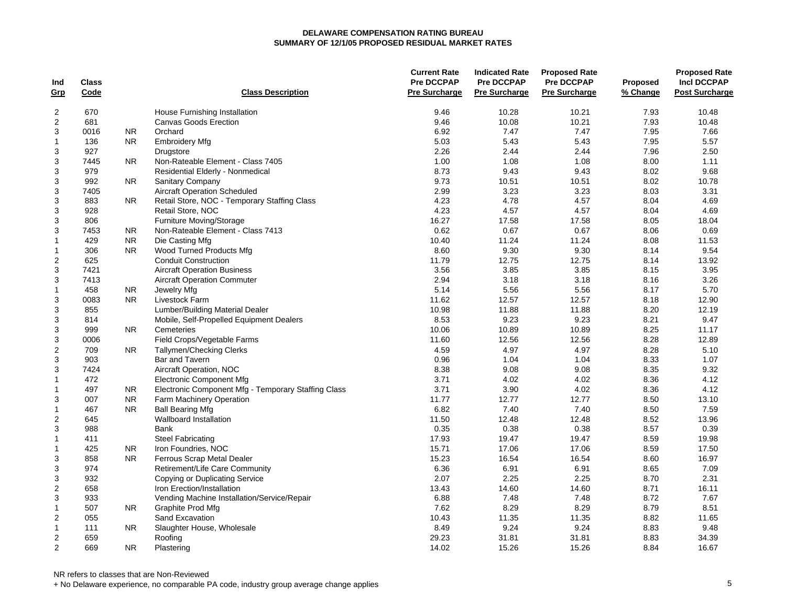|                |              |                |                                                     | <b>Current Rate</b>  | <b>Indicated Rate</b> | <b>Proposed Rate</b> |                 | <b>Proposed Rate</b>  |
|----------------|--------------|----------------|-----------------------------------------------------|----------------------|-----------------------|----------------------|-----------------|-----------------------|
| Ind            | <b>Class</b> |                |                                                     | <b>Pre DCCPAP</b>    | <b>Pre DCCPAP</b>     | <b>Pre DCCPAP</b>    | <b>Proposed</b> | <b>Incl DCCPAP</b>    |
| Grp            | Code         |                | <b>Class Description</b>                            | <b>Pre Surcharge</b> | <b>Pre Surcharge</b>  | <b>Pre Surcharge</b> | % Change        | <b>Post Surcharge</b> |
| $\overline{2}$ | 670          |                | House Furnishing Installation                       | 9.46                 | 10.28                 | 10.21                | 7.93            | 10.48                 |
| $\overline{c}$ | 681          |                | <b>Canvas Goods Erection</b>                        | 9.46                 | 10.08                 | 10.21                | 7.93            | 10.48                 |
| 3              | 0016         | <b>NR</b>      | Orchard                                             | 6.92                 | 7.47                  | 7.47                 | 7.95            | 7.66                  |
| $\mathbf{1}$   | 136          | N <sub>R</sub> | <b>Embroidery Mfg</b>                               | 5.03                 | 5.43                  | 5.43                 | 7.95            | 5.57                  |
| 3              | 927          |                | Drugstore                                           | 2.26                 | 2.44                  | 2.44                 | 7.96            | 2.50                  |
| $\mathbf{3}$   | 7445         | NR.            | Non-Rateable Element - Class 7405                   | 1.00                 | 1.08                  | 1.08                 | 8.00            | 1.11                  |
| $\mathbf{3}$   | 979          |                | Residential Elderly - Nonmedical                    | 8.73                 | 9.43                  | 9.43                 | 8.02            | 9.68                  |
| 3              | 992          | <b>NR</b>      | Sanitary Company                                    | 9.73                 | 10.51                 | 10.51                | 8.02            | 10.78                 |
| $\mathbf{3}$   | 7405         |                | <b>Aircraft Operation Scheduled</b>                 | 2.99                 | 3.23                  | 3.23                 | 8.03            | 3.31                  |
| 3              | 883          | NR.            | Retail Store, NOC - Temporary Staffing Class        | 4.23                 | 4.78                  | 4.57                 | 8.04            | 4.69                  |
| 3              | 928          |                | Retail Store, NOC                                   | 4.23                 | 4.57                  | 4.57                 | 8.04            | 4.69                  |
| $\mathsf 3$    | 806          |                | <b>Furniture Moving/Storage</b>                     | 16.27                | 17.58                 | 17.58                | 8.05            | 18.04                 |
| $\mathbf{3}$   | 7453         | N <sub>R</sub> | Non-Rateable Element - Class 7413                   | 0.62                 | 0.67                  | 0.67                 | 8.06            | 0.69                  |
| $\mathbf{1}$   | 429          | <b>NR</b>      | Die Casting Mfg                                     | 10.40                | 11.24                 | 11.24                | 8.08            | 11.53                 |
| $\mathbf{1}$   | 306          | <b>NR</b>      | Wood Turned Products Mfg                            | 8.60                 | 9.30                  | 9.30                 | 8.14            | 9.54                  |
|                | 625          |                | <b>Conduit Construction</b>                         | 11.79                |                       | 12.75                | 8.14            | 13.92                 |
| $\overline{2}$ |              |                |                                                     |                      | 12.75                 |                      |                 |                       |
| 3              | 7421         |                | <b>Aircraft Operation Business</b>                  | 3.56                 | 3.85                  | 3.85                 | 8.15            | 3.95                  |
| 3              | 7413         |                | <b>Aircraft Operation Commuter</b>                  | 2.94                 | 3.18                  | 3.18                 | 8.16            | 3.26                  |
| $\overline{1}$ | 458          | NR.            | Jewelry Mfg                                         | 5.14                 | 5.56                  | 5.56                 | 8.17            | 5.70                  |
| 3              | 0083         | <b>NR</b>      | Livestock Farm                                      | 11.62                | 12.57                 | 12.57                | 8.18            | 12.90                 |
| 3              | 855          |                | Lumber/Building Material Dealer                     | 10.98                | 11.88                 | 11.88                | 8.20            | 12.19                 |
| 3              | 814          |                | Mobile, Self-Propelled Equipment Dealers            | 8.53                 | 9.23                  | 9.23                 | 8.21            | 9.47                  |
| 3              | 999          | N <sub>R</sub> | Cemeteries                                          | 10.06                | 10.89                 | 10.89                | 8.25            | 11.17                 |
| $\mathbf{3}$   | 0006         |                | Field Crops/Vegetable Farms                         | 11.60                | 12.56                 | 12.56                | 8.28            | 12.89                 |
| $\overline{c}$ | 709          | N <sub>R</sub> | <b>Tallymen/Checking Clerks</b>                     | 4.59                 | 4.97                  | 4.97                 | 8.28            | 5.10                  |
| $\mathbf{3}$   | 903          |                | <b>Bar and Tavern</b>                               | 0.96                 | 1.04                  | 1.04                 | 8.33            | 1.07                  |
| $\sqrt{3}$     | 7424         |                | Aircraft Operation, NOC                             | 8.38                 | 9.08                  | 9.08                 | 8.35            | 9.32                  |
| $\mathbf{1}$   | 472          |                | <b>Electronic Component Mfg</b>                     | 3.71                 | 4.02                  | 4.02                 | 8.36            | 4.12                  |
| $\mathbf{1}$   | 497          | NR.            | Electronic Component Mfg - Temporary Staffing Class | 3.71                 | 3.90                  | 4.02                 | 8.36            | 4.12                  |
| 3              | 007          | <b>NR</b>      | Farm Machinery Operation                            | 11.77                | 12.77                 | 12.77                | 8.50            | 13.10                 |
| $\mathbf{1}$   | 467          | N <sub>R</sub> | <b>Ball Bearing Mfg</b>                             | 6.82                 | 7.40                  | 7.40                 | 8.50            | 7.59                  |
| $\overline{2}$ | 645          |                | Wallboard Installation                              | 11.50                | 12.48                 | 12.48                | 8.52            | 13.96                 |
| 3              | 988          |                | <b>Bank</b>                                         | 0.35                 | 0.38                  | 0.38                 | 8.57            | 0.39                  |
| $\overline{1}$ | 411          |                | <b>Steel Fabricating</b>                            | 17.93                | 19.47                 | 19.47                | 8.59            | 19.98                 |
| $\mathbf{1}$   | 425          | N <sub>R</sub> | Iron Foundries, NOC                                 | 15.71                | 17.06                 | 17.06                | 8.59            | 17.50                 |
| 3              | 858          | N <sub>R</sub> | Ferrous Scrap Metal Dealer                          | 15.23                | 16.54                 | 16.54                | 8.60            | 16.97                 |
| 3              | 974          |                | Retirement/Life Care Community                      | 6.36                 | 6.91                  | 6.91                 | 8.65            | 7.09                  |
| 3              | 932          |                | <b>Copying or Duplicating Service</b>               | 2.07                 | 2.25                  | 2.25                 | 8.70            | 2.31                  |
| $\sqrt{2}$     | 658          |                | Iron Erection/Installation                          | 13.43                | 14.60                 | 14.60                | 8.71            | 16.11                 |
| 3              | 933          |                | Vending Machine Installation/Service/Repair         | 6.88                 | 7.48                  | 7.48                 | 8.72            | 7.67                  |
| $\mathbf{1}$   | 507          | NR.            | Graphite Prod Mfg                                   | 7.62                 | 8.29                  | 8.29                 | 8.79            | 8.51                  |
| $\overline{2}$ | 055          |                | Sand Excavation                                     | 10.43                | 11.35                 | 11.35                | 8.82            | 11.65                 |
| $\mathbf{1}$   | 111          | <b>NR</b>      | Slaughter House, Wholesale                          | 8.49                 | 9.24                  | 9.24                 | 8.83            | 9.48                  |
| $\overline{2}$ | 659          |                | Roofing                                             | 29.23                | 31.81                 | 31.81                | 8.83            | 34.39                 |
| 2              | 669          | <b>NR</b>      | Plastering                                          | 14.02                | 15.26                 | 15.26                | 8.84            | 16.67                 |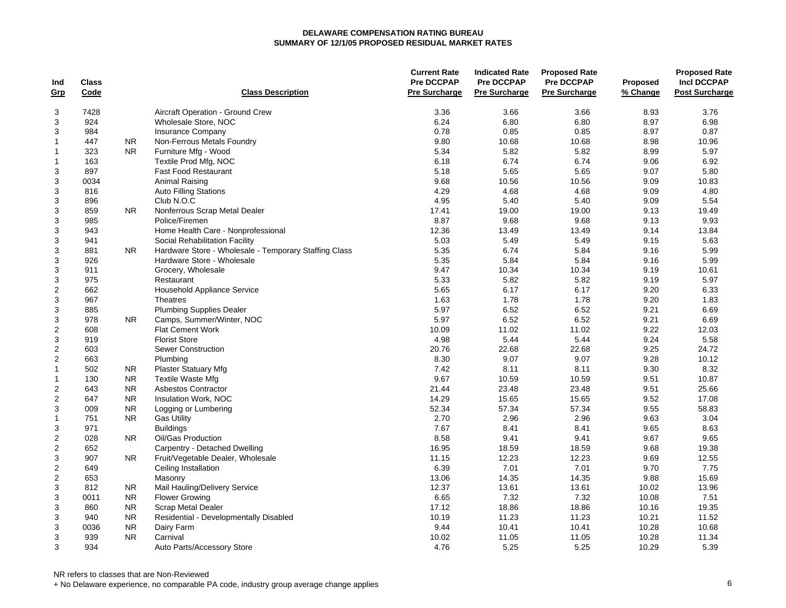|                  |              |                |                                                       | <b>Current Rate</b>  | <b>Indicated Rate</b> | <b>Proposed Rate</b> |          | <b>Proposed Rate</b>  |
|------------------|--------------|----------------|-------------------------------------------------------|----------------------|-----------------------|----------------------|----------|-----------------------|
| Ind              | <b>Class</b> |                |                                                       | <b>Pre DCCPAP</b>    | Pre DCCPAP            | <b>Pre DCCPAP</b>    | Proposed | <b>Incl DCCPAP</b>    |
| <u>Grp</u>       | Code         |                | <b>Class Description</b>                              | <b>Pre Surcharge</b> | <b>Pre Surcharge</b>  | <b>Pre Surcharge</b> | % Change | <b>Post Surcharge</b> |
| 3                | 7428         |                | Aircraft Operation - Ground Crew                      | 3.36                 | 3.66                  | 3.66                 | 8.93     | 3.76                  |
| 3                | 924          |                | Wholesale Store, NOC                                  | 6.24                 | 6.80                  | 6.80                 | 8.97     | 6.98                  |
| 3                | 984          |                | <b>Insurance Company</b>                              | 0.78                 | 0.85                  | 0.85                 | 8.97     | 0.87                  |
| $\mathbf{1}$     | 447          | <b>NR</b>      | Non-Ferrous Metals Foundry                            | 9.80                 | 10.68                 | 10.68                | 8.98     | 10.96                 |
| $\overline{1}$   | 323          | <b>NR</b>      | Furniture Mfg - Wood                                  | 5.34                 | 5.82                  | 5.82                 | 8.99     | 5.97                  |
| $\overline{1}$   | 163          |                | Textile Prod Mfg, NOC                                 | 6.18                 | 6.74                  | 6.74                 | 9.06     | 6.92                  |
| 3                | 897          |                | <b>Fast Food Restaurant</b>                           | 5.18                 | 5.65                  | 5.65                 | 9.07     | 5.80                  |
| 3                | 0034         |                | Animal Raising                                        | 9.68                 | 10.56                 | 10.56                | 9.09     | 10.83                 |
| 3                | 816          |                | <b>Auto Filling Stations</b>                          | 4.29                 | 4.68                  | 4.68                 | 9.09     | 4.80                  |
| 3                | 896          |                | Club N.O.C                                            | 4.95                 | 5.40                  | 5.40                 | 9.09     | 5.54                  |
| 3                | 859          | <b>NR</b>      | Nonferrous Scrap Metal Dealer                         | 17.41                | 19.00                 | 19.00                | 9.13     | 19.49                 |
| 3                | 985          |                | Police/Firemen                                        | 8.87                 | 9.68                  | 9.68                 | 9.13     | 9.93                  |
| 3                | 943          |                | Home Health Care - Nonprofessional                    | 12.36                | 13.49                 | 13.49                | 9.14     | 13.84                 |
| 3                | 941          |                | Social Rehabilitation Facility                        | 5.03                 | 5.49                  | 5.49                 | 9.15     | 5.63                  |
| $\mathbf{3}$     | 881          | <b>NR</b>      | Hardware Store - Wholesale - Temporary Staffing Class | 5.35                 | 6.74                  | 5.84                 | 9.16     | 5.99                  |
| $\mathbf{3}$     | 926          |                | Hardware Store - Wholesale                            | 5.35                 | 5.84                  | 5.84                 | 9.16     | 5.99                  |
| 3                | 911          |                | Grocery, Wholesale                                    | 9.47                 | 10.34                 | 10.34                | 9.19     | 10.61                 |
| $\mathbf{3}$     | 975          |                | Restaurant                                            | 5.33                 | 5.82                  | 5.82                 | 9.19     | 5.97                  |
| $\overline{2}$   | 662          |                | Household Appliance Service                           | 5.65                 | 6.17                  | 6.17                 | 9.20     | 6.33                  |
| 3                | 967          |                | <b>Theatres</b>                                       | 1.63                 | 1.78                  | 1.78                 | 9.20     | 1.83                  |
| 3                | 885          |                | <b>Plumbing Supplies Dealer</b>                       | 5.97                 | 6.52                  | 6.52                 | 9.21     | 6.69                  |
| 3                | 978          | <b>NR</b>      | Camps, Summer/Winter, NOC                             | 5.97                 | 6.52                  | 6.52                 | 9.21     | 6.69                  |
| 2                | 608          |                | <b>Flat Cement Work</b>                               | 10.09                | 11.02                 | 11.02                | 9.22     | 12.03                 |
| $\mathbf{3}$     | 919          |                | <b>Florist Store</b>                                  | 4.98                 | 5.44                  | 5.44                 | 9.24     | 5.58                  |
| $\boldsymbol{2}$ | 603          |                | Sewer Construction                                    | 20.76                | 22.68                 | 22.68                | 9.25     | 24.72                 |
| $\overline{c}$   | 663          |                | Plumbing                                              | 8.30                 | 9.07                  | 9.07                 | 9.28     | 10.12                 |
| $\mathbf{1}$     | 502          | <b>NR</b>      | <b>Plaster Statuary Mfg</b>                           | 7.42                 | 8.11                  | 8.11                 | 9.30     | 8.32                  |
| $\mathbf{1}$     | 130          | <b>NR</b>      | <b>Textile Waste Mfg</b>                              | 9.67                 | 10.59                 | 10.59                | 9.51     | 10.87                 |
| $\overline{c}$   | 643          | <b>NR</b>      | <b>Asbestos Contractor</b>                            | 21.44                | 23.48                 | 23.48                | 9.51     | 25.66                 |
| $\overline{c}$   | 647          | <b>NR</b>      | Insulation Work, NOC                                  | 14.29                | 15.65                 | 15.65                | 9.52     | 17.08                 |
| 3                | 009          | <b>NR</b>      | Logging or Lumbering                                  | 52.34                | 57.34                 | 57.34                | 9.55     | 58.83                 |
| $\mathbf{1}$     | 751          | <b>NR</b>      | <b>Gas Utility</b>                                    | 2.70                 | 2.96                  | 2.96                 | 9.63     | 3.04                  |
| 3                | 971          |                | <b>Buildings</b>                                      | 7.67                 | 8.41                  | 8.41                 | 9.65     | 8.63                  |
| $\overline{2}$   | 028          | N <sub>R</sub> | Oil/Gas Production                                    | 8.58                 | 9.41                  | 9.41                 | 9.67     | 9.65                  |
| $\overline{c}$   | 652          |                | Carpentry - Detached Dwelling                         | 16.95                | 18.59                 | 18.59                | 9.68     | 19.38                 |
| 3                | 907          | NR.            | Fruit/Vegetable Dealer, Wholesale                     | 11.15                | 12.23                 | 12.23                | 9.69     | 12.55                 |
| $\mathbf 2$      | 649          |                | Ceiling Installation                                  | 6.39                 | 7.01                  | 7.01                 | 9.70     | 7.75                  |
| $\overline{c}$   | 653          |                | Masonry                                               | 13.06                | 14.35                 | 14.35                | 9.88     | 15.69                 |
| $\mathsf 3$      | 812          | <b>NR</b>      | Mail Hauling/Delivery Service                         | 12.37                | 13.61                 | 13.61                | 10.02    | 13.96                 |
| $\mathbf{3}$     | 0011         | <b>NR</b>      | <b>Flower Growing</b>                                 | 6.65                 | 7.32                  | 7.32                 | 10.08    | 7.51                  |
| 3                | 860          | <b>NR</b>      | <b>Scrap Metal Dealer</b>                             | 17.12                | 18.86                 | 18.86                | 10.16    | 19.35                 |
| 3                | 940          | <b>NR</b>      | Residential - Developmentally Disabled                | 10.19                | 11.23                 | 11.23                | 10.21    | 11.52                 |
| $\mathbf{3}$     | 0036         | <b>NR</b>      | Dairy Farm                                            | 9.44                 | 10.41                 | 10.41                | 10.28    | 10.68                 |
| 3                | 939          | <b>NR</b>      | Carnival                                              | 10.02                | 11.05                 | 11.05                | 10.28    | 11.34                 |
| 3                | 934          |                | Auto Parts/Accessory Store                            | 4.76                 | 5.25                  | 5.25                 | 10.29    | 5.39                  |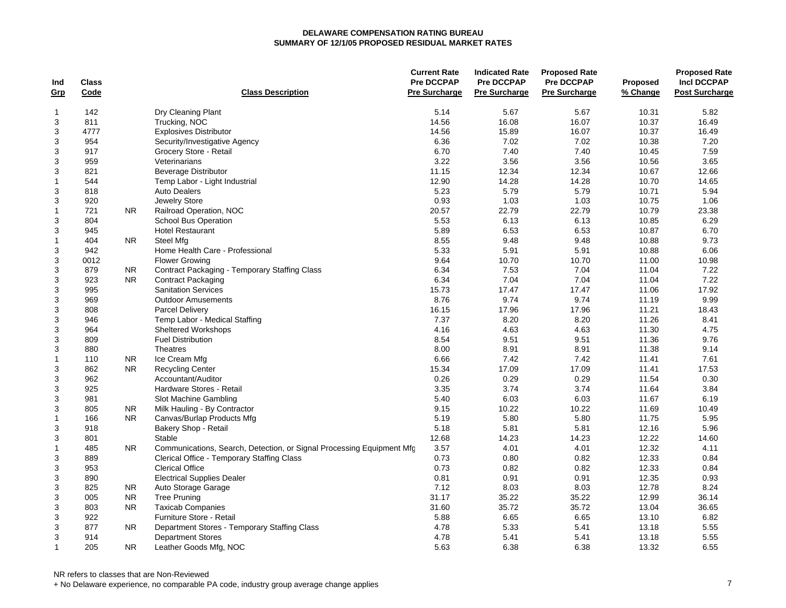| <b>Pre DCCPAP</b><br><b>Pre DCCPAP</b><br><b>Incl DCCPAP</b><br><b>Pre DCCPAP</b><br><b>Class</b><br><b>Proposed</b><br>Ind<br><b>Pre Surcharge</b><br><b>Post Surcharge</b><br>Grp<br>Code<br><b>Class Description</b><br>Pre Surcharge<br><b>Pre Surcharge</b><br>% Change<br>5.14<br>5.82<br>142<br>Dry Cleaning Plant<br>5.67<br>5.67<br>10.31<br>$\mathbf 1$<br>3<br>14.56<br>16.08<br>16.07<br>10.37<br>811<br>Trucking, NOC<br>16.49<br>3<br>4777<br>14.56<br>15.89<br>16.07<br>10.37<br>16.49<br><b>Explosives Distributor</b><br>3<br>7.02<br>7.02<br>10.38<br>7.20<br>954<br>Security/Investigative Agency<br>6.36<br>3<br>6.70<br>7.40<br>7.40<br>10.45<br>7.59<br>917<br>Grocery Store - Retail<br>3<br>3.22<br>3.56<br>3.56<br>10.56<br>3.65<br>959<br>Veterinarians<br>3<br>821<br>11.15<br>12.34<br>12.34<br>10.67<br>12.66<br>Beverage Distributor<br>$\overline{1}$<br>544<br>Temp Labor - Light Industrial<br>12.90<br>14.28<br>14.28<br>10.70<br>14.65<br>3<br>818<br>5.23<br>5.79<br>5.79<br>10.71<br>5.94<br><b>Auto Dealers</b><br>3<br>0.93<br>1.03<br>1.03<br>1.06<br>920<br>Jewelry Store<br>10.75<br>22.79<br>22.79<br>$\overline{1}$<br>721<br>N <sub>R</sub><br>Railroad Operation, NOC<br>20.57<br>10.79<br>23.38<br>3<br>804<br>School Bus Operation<br>5.53<br>6.13<br>6.13<br>10.85<br>6.29<br>3<br>945<br>5.89<br>6.53<br>6.53<br>10.87<br>6.70<br><b>Hotel Restaurant</b><br>9.48<br>9.48<br>10.88<br>9.73<br>$\overline{1}$<br>404<br><b>NR</b><br>Steel Mfg<br>8.55<br>5.91<br>3<br>942<br>Home Health Care - Professional<br>5.33<br>5.91<br>10.88<br>6.06<br>3<br>9.64<br>10.70<br>10.70<br>10.98<br>0012<br><b>Flower Growing</b><br>11.00<br>3<br>879<br>Contract Packaging - Temporary Staffing Class<br>6.34<br>7.53<br>7.04<br>11.04<br>7.22<br>NR.<br>7.22<br>3<br>923<br>N <sub>R</sub><br><b>Contract Packaging</b><br>6.34<br>7.04<br>7.04<br>11.04<br>3<br>995<br><b>Sanitation Services</b><br>15.73<br>17.47<br>17.47<br>11.06<br>17.92<br>3<br>9.74<br>9.74<br>9.99<br>969<br>8.76<br>11.19<br><b>Outdoor Amusements</b><br>3<br>16.15<br>17.96<br>17.96<br>11.21<br>18.43<br>808<br><b>Parcel Delivery</b><br>3<br>7.37<br>8.20<br>8.20<br>11.26<br>8.41<br>946<br>Temp Labor - Medical Staffing<br>3<br>964<br><b>Sheltered Workshops</b><br>4.16<br>4.63<br>4.63<br>11.30<br>4.75<br>3<br>9.51<br>9.76<br>809<br><b>Fuel Distribution</b><br>8.54<br>9.51<br>11.36<br>3<br>880<br>Theatres<br>8.00<br>8.91<br>8.91<br>11.38<br>9.14<br>$\overline{1}$<br>6.66<br>7.42<br>7.42<br>7.61<br>110<br><b>NR</b><br>Ice Cream Mfg<br>11.41<br>3<br>862<br>17.09<br>17.09<br>11.41<br>17.53<br><b>NR</b><br><b>Recycling Center</b><br>15.34<br>3<br>962<br>0.30<br>Accountant/Auditor<br>0.26<br>0.29<br>0.29<br>11.54<br>3<br>3.74<br>3.74<br>3.84<br>925<br>Hardware Stores - Retail<br>3.35<br>11.64<br>3<br>5.40<br>6.03<br>6.03<br>6.19<br>981<br>Slot Machine Gambling<br>11.67<br>3<br>10.22<br>805<br>NR.<br>Milk Hauling - By Contractor<br>9.15<br>10.22<br>11.69<br>10.49<br>Canvas/Burlap Products Mfg<br>5.19<br>5.80<br>5.80<br>11.75<br>5.95<br>$\mathbf 1$<br>166<br>NR.<br>5.81<br>12.16<br>5.96<br>3<br>918<br>Bakery Shop - Retail<br>5.18<br>5.81<br>3<br>801<br>Stable<br>12.68<br>14.23<br>14.23<br>12.22<br>14.60<br>4.01<br>12.32<br>$\overline{1}$<br>485<br>N <sub>R</sub><br>Communications, Search, Detection, or Signal Processing Equipment Mfg<br>3.57<br>4.01<br>4.11<br>3<br>0.73<br>12.33<br>889<br>Clerical Office - Temporary Staffing Class<br>0.80<br>0.82<br>0.84<br>3<br><b>Clerical Office</b><br>0.73<br>0.82<br>12.33<br>0.84<br>953<br>0.82<br>0.91<br>12.35<br>3<br>890<br><b>Electrical Supplies Dealer</b><br>0.81<br>0.91<br>0.93<br>3<br>8.03<br>8.03<br>12.78<br>8.24<br>825<br>Auto Storage Garage<br>7.12<br>NR.<br>3<br>35.22<br>12.99<br>005<br><b>NR</b><br><b>Tree Pruning</b><br>31.17<br>35.22<br>36.14<br>3<br><b>NR</b><br><b>Taxicab Companies</b><br>35.72<br>35.72<br>13.04<br>36.65<br>803<br>31.60<br>3<br>922<br>6.65<br>6.65<br>6.82<br>Furniture Store - Retail<br>5.88<br>13.10<br>3<br>877<br><b>NR</b><br>4.78<br>5.33<br>5.41<br>5.55<br>Department Stores - Temporary Staffing Class<br>13.18<br>3<br>914<br>4.78<br>5.41<br>13.18<br>5.55<br><b>Department Stores</b><br>5.41<br>205<br><b>NR</b><br>5.63<br>6.38<br>6.38<br>13.32<br>6.55<br>$\overline{1}$<br>Leather Goods Mfg, NOC |  |  | <b>Current Rate</b> | <b>Indicated Rate</b> | <b>Proposed Rate</b> | <b>Proposed Rate</b> |
|-----------------------------------------------------------------------------------------------------------------------------------------------------------------------------------------------------------------------------------------------------------------------------------------------------------------------------------------------------------------------------------------------------------------------------------------------------------------------------------------------------------------------------------------------------------------------------------------------------------------------------------------------------------------------------------------------------------------------------------------------------------------------------------------------------------------------------------------------------------------------------------------------------------------------------------------------------------------------------------------------------------------------------------------------------------------------------------------------------------------------------------------------------------------------------------------------------------------------------------------------------------------------------------------------------------------------------------------------------------------------------------------------------------------------------------------------------------------------------------------------------------------------------------------------------------------------------------------------------------------------------------------------------------------------------------------------------------------------------------------------------------------------------------------------------------------------------------------------------------------------------------------------------------------------------------------------------------------------------------------------------------------------------------------------------------------------------------------------------------------------------------------------------------------------------------------------------------------------------------------------------------------------------------------------------------------------------------------------------------------------------------------------------------------------------------------------------------------------------------------------------------------------------------------------------------------------------------------------------------------------------------------------------------------------------------------------------------------------------------------------------------------------------------------------------------------------------------------------------------------------------------------------------------------------------------------------------------------------------------------------------------------------------------------------------------------------------------------------------------------------------------------------------------------------------------------------------------------------------------------------------------------------------------------------------------------------------------------------------------------------------------------------------------------------------------------------------------------------------------------------------------------------------------------------------------------------------------------------------------------------------------------------------------------------------------------------------------------------------------------------------------------------------------------------------------------------------------------------------------------------------------------------------------------------------------------------------------------------------------------------------------------------------------------------------------------------------------------------------------------------------------------------------------------------------------------------------------------------------------------------------------------------------------------------------------------------------------------------------------------------------------------------------------------|--|--|---------------------|-----------------------|----------------------|----------------------|
|                                                                                                                                                                                                                                                                                                                                                                                                                                                                                                                                                                                                                                                                                                                                                                                                                                                                                                                                                                                                                                                                                                                                                                                                                                                                                                                                                                                                                                                                                                                                                                                                                                                                                                                                                                                                                                                                                                                                                                                                                                                                                                                                                                                                                                                                                                                                                                                                                                                                                                                                                                                                                                                                                                                                                                                                                                                                                                                                                                                                                                                                                                                                                                                                                                                                                                                                                                                                                                                                                                                                                                                                                                                                                                                                                                                                                                                                                                                                                                                                                                                                                                                                                                                                                                                                                                                                                                                                                 |  |  |                     |                       |                      |                      |
|                                                                                                                                                                                                                                                                                                                                                                                                                                                                                                                                                                                                                                                                                                                                                                                                                                                                                                                                                                                                                                                                                                                                                                                                                                                                                                                                                                                                                                                                                                                                                                                                                                                                                                                                                                                                                                                                                                                                                                                                                                                                                                                                                                                                                                                                                                                                                                                                                                                                                                                                                                                                                                                                                                                                                                                                                                                                                                                                                                                                                                                                                                                                                                                                                                                                                                                                                                                                                                                                                                                                                                                                                                                                                                                                                                                                                                                                                                                                                                                                                                                                                                                                                                                                                                                                                                                                                                                                                 |  |  |                     |                       |                      |                      |
|                                                                                                                                                                                                                                                                                                                                                                                                                                                                                                                                                                                                                                                                                                                                                                                                                                                                                                                                                                                                                                                                                                                                                                                                                                                                                                                                                                                                                                                                                                                                                                                                                                                                                                                                                                                                                                                                                                                                                                                                                                                                                                                                                                                                                                                                                                                                                                                                                                                                                                                                                                                                                                                                                                                                                                                                                                                                                                                                                                                                                                                                                                                                                                                                                                                                                                                                                                                                                                                                                                                                                                                                                                                                                                                                                                                                                                                                                                                                                                                                                                                                                                                                                                                                                                                                                                                                                                                                                 |  |  |                     |                       |                      |                      |
|                                                                                                                                                                                                                                                                                                                                                                                                                                                                                                                                                                                                                                                                                                                                                                                                                                                                                                                                                                                                                                                                                                                                                                                                                                                                                                                                                                                                                                                                                                                                                                                                                                                                                                                                                                                                                                                                                                                                                                                                                                                                                                                                                                                                                                                                                                                                                                                                                                                                                                                                                                                                                                                                                                                                                                                                                                                                                                                                                                                                                                                                                                                                                                                                                                                                                                                                                                                                                                                                                                                                                                                                                                                                                                                                                                                                                                                                                                                                                                                                                                                                                                                                                                                                                                                                                                                                                                                                                 |  |  |                     |                       |                      |                      |
|                                                                                                                                                                                                                                                                                                                                                                                                                                                                                                                                                                                                                                                                                                                                                                                                                                                                                                                                                                                                                                                                                                                                                                                                                                                                                                                                                                                                                                                                                                                                                                                                                                                                                                                                                                                                                                                                                                                                                                                                                                                                                                                                                                                                                                                                                                                                                                                                                                                                                                                                                                                                                                                                                                                                                                                                                                                                                                                                                                                                                                                                                                                                                                                                                                                                                                                                                                                                                                                                                                                                                                                                                                                                                                                                                                                                                                                                                                                                                                                                                                                                                                                                                                                                                                                                                                                                                                                                                 |  |  |                     |                       |                      |                      |
|                                                                                                                                                                                                                                                                                                                                                                                                                                                                                                                                                                                                                                                                                                                                                                                                                                                                                                                                                                                                                                                                                                                                                                                                                                                                                                                                                                                                                                                                                                                                                                                                                                                                                                                                                                                                                                                                                                                                                                                                                                                                                                                                                                                                                                                                                                                                                                                                                                                                                                                                                                                                                                                                                                                                                                                                                                                                                                                                                                                                                                                                                                                                                                                                                                                                                                                                                                                                                                                                                                                                                                                                                                                                                                                                                                                                                                                                                                                                                                                                                                                                                                                                                                                                                                                                                                                                                                                                                 |  |  |                     |                       |                      |                      |
|                                                                                                                                                                                                                                                                                                                                                                                                                                                                                                                                                                                                                                                                                                                                                                                                                                                                                                                                                                                                                                                                                                                                                                                                                                                                                                                                                                                                                                                                                                                                                                                                                                                                                                                                                                                                                                                                                                                                                                                                                                                                                                                                                                                                                                                                                                                                                                                                                                                                                                                                                                                                                                                                                                                                                                                                                                                                                                                                                                                                                                                                                                                                                                                                                                                                                                                                                                                                                                                                                                                                                                                                                                                                                                                                                                                                                                                                                                                                                                                                                                                                                                                                                                                                                                                                                                                                                                                                                 |  |  |                     |                       |                      |                      |
|                                                                                                                                                                                                                                                                                                                                                                                                                                                                                                                                                                                                                                                                                                                                                                                                                                                                                                                                                                                                                                                                                                                                                                                                                                                                                                                                                                                                                                                                                                                                                                                                                                                                                                                                                                                                                                                                                                                                                                                                                                                                                                                                                                                                                                                                                                                                                                                                                                                                                                                                                                                                                                                                                                                                                                                                                                                                                                                                                                                                                                                                                                                                                                                                                                                                                                                                                                                                                                                                                                                                                                                                                                                                                                                                                                                                                                                                                                                                                                                                                                                                                                                                                                                                                                                                                                                                                                                                                 |  |  |                     |                       |                      |                      |
|                                                                                                                                                                                                                                                                                                                                                                                                                                                                                                                                                                                                                                                                                                                                                                                                                                                                                                                                                                                                                                                                                                                                                                                                                                                                                                                                                                                                                                                                                                                                                                                                                                                                                                                                                                                                                                                                                                                                                                                                                                                                                                                                                                                                                                                                                                                                                                                                                                                                                                                                                                                                                                                                                                                                                                                                                                                                                                                                                                                                                                                                                                                                                                                                                                                                                                                                                                                                                                                                                                                                                                                                                                                                                                                                                                                                                                                                                                                                                                                                                                                                                                                                                                                                                                                                                                                                                                                                                 |  |  |                     |                       |                      |                      |
|                                                                                                                                                                                                                                                                                                                                                                                                                                                                                                                                                                                                                                                                                                                                                                                                                                                                                                                                                                                                                                                                                                                                                                                                                                                                                                                                                                                                                                                                                                                                                                                                                                                                                                                                                                                                                                                                                                                                                                                                                                                                                                                                                                                                                                                                                                                                                                                                                                                                                                                                                                                                                                                                                                                                                                                                                                                                                                                                                                                                                                                                                                                                                                                                                                                                                                                                                                                                                                                                                                                                                                                                                                                                                                                                                                                                                                                                                                                                                                                                                                                                                                                                                                                                                                                                                                                                                                                                                 |  |  |                     |                       |                      |                      |
|                                                                                                                                                                                                                                                                                                                                                                                                                                                                                                                                                                                                                                                                                                                                                                                                                                                                                                                                                                                                                                                                                                                                                                                                                                                                                                                                                                                                                                                                                                                                                                                                                                                                                                                                                                                                                                                                                                                                                                                                                                                                                                                                                                                                                                                                                                                                                                                                                                                                                                                                                                                                                                                                                                                                                                                                                                                                                                                                                                                                                                                                                                                                                                                                                                                                                                                                                                                                                                                                                                                                                                                                                                                                                                                                                                                                                                                                                                                                                                                                                                                                                                                                                                                                                                                                                                                                                                                                                 |  |  |                     |                       |                      |                      |
|                                                                                                                                                                                                                                                                                                                                                                                                                                                                                                                                                                                                                                                                                                                                                                                                                                                                                                                                                                                                                                                                                                                                                                                                                                                                                                                                                                                                                                                                                                                                                                                                                                                                                                                                                                                                                                                                                                                                                                                                                                                                                                                                                                                                                                                                                                                                                                                                                                                                                                                                                                                                                                                                                                                                                                                                                                                                                                                                                                                                                                                                                                                                                                                                                                                                                                                                                                                                                                                                                                                                                                                                                                                                                                                                                                                                                                                                                                                                                                                                                                                                                                                                                                                                                                                                                                                                                                                                                 |  |  |                     |                       |                      |                      |
|                                                                                                                                                                                                                                                                                                                                                                                                                                                                                                                                                                                                                                                                                                                                                                                                                                                                                                                                                                                                                                                                                                                                                                                                                                                                                                                                                                                                                                                                                                                                                                                                                                                                                                                                                                                                                                                                                                                                                                                                                                                                                                                                                                                                                                                                                                                                                                                                                                                                                                                                                                                                                                                                                                                                                                                                                                                                                                                                                                                                                                                                                                                                                                                                                                                                                                                                                                                                                                                                                                                                                                                                                                                                                                                                                                                                                                                                                                                                                                                                                                                                                                                                                                                                                                                                                                                                                                                                                 |  |  |                     |                       |                      |                      |
|                                                                                                                                                                                                                                                                                                                                                                                                                                                                                                                                                                                                                                                                                                                                                                                                                                                                                                                                                                                                                                                                                                                                                                                                                                                                                                                                                                                                                                                                                                                                                                                                                                                                                                                                                                                                                                                                                                                                                                                                                                                                                                                                                                                                                                                                                                                                                                                                                                                                                                                                                                                                                                                                                                                                                                                                                                                                                                                                                                                                                                                                                                                                                                                                                                                                                                                                                                                                                                                                                                                                                                                                                                                                                                                                                                                                                                                                                                                                                                                                                                                                                                                                                                                                                                                                                                                                                                                                                 |  |  |                     |                       |                      |                      |
|                                                                                                                                                                                                                                                                                                                                                                                                                                                                                                                                                                                                                                                                                                                                                                                                                                                                                                                                                                                                                                                                                                                                                                                                                                                                                                                                                                                                                                                                                                                                                                                                                                                                                                                                                                                                                                                                                                                                                                                                                                                                                                                                                                                                                                                                                                                                                                                                                                                                                                                                                                                                                                                                                                                                                                                                                                                                                                                                                                                                                                                                                                                                                                                                                                                                                                                                                                                                                                                                                                                                                                                                                                                                                                                                                                                                                                                                                                                                                                                                                                                                                                                                                                                                                                                                                                                                                                                                                 |  |  |                     |                       |                      |                      |
|                                                                                                                                                                                                                                                                                                                                                                                                                                                                                                                                                                                                                                                                                                                                                                                                                                                                                                                                                                                                                                                                                                                                                                                                                                                                                                                                                                                                                                                                                                                                                                                                                                                                                                                                                                                                                                                                                                                                                                                                                                                                                                                                                                                                                                                                                                                                                                                                                                                                                                                                                                                                                                                                                                                                                                                                                                                                                                                                                                                                                                                                                                                                                                                                                                                                                                                                                                                                                                                                                                                                                                                                                                                                                                                                                                                                                                                                                                                                                                                                                                                                                                                                                                                                                                                                                                                                                                                                                 |  |  |                     |                       |                      |                      |
|                                                                                                                                                                                                                                                                                                                                                                                                                                                                                                                                                                                                                                                                                                                                                                                                                                                                                                                                                                                                                                                                                                                                                                                                                                                                                                                                                                                                                                                                                                                                                                                                                                                                                                                                                                                                                                                                                                                                                                                                                                                                                                                                                                                                                                                                                                                                                                                                                                                                                                                                                                                                                                                                                                                                                                                                                                                                                                                                                                                                                                                                                                                                                                                                                                                                                                                                                                                                                                                                                                                                                                                                                                                                                                                                                                                                                                                                                                                                                                                                                                                                                                                                                                                                                                                                                                                                                                                                                 |  |  |                     |                       |                      |                      |
|                                                                                                                                                                                                                                                                                                                                                                                                                                                                                                                                                                                                                                                                                                                                                                                                                                                                                                                                                                                                                                                                                                                                                                                                                                                                                                                                                                                                                                                                                                                                                                                                                                                                                                                                                                                                                                                                                                                                                                                                                                                                                                                                                                                                                                                                                                                                                                                                                                                                                                                                                                                                                                                                                                                                                                                                                                                                                                                                                                                                                                                                                                                                                                                                                                                                                                                                                                                                                                                                                                                                                                                                                                                                                                                                                                                                                                                                                                                                                                                                                                                                                                                                                                                                                                                                                                                                                                                                                 |  |  |                     |                       |                      |                      |
|                                                                                                                                                                                                                                                                                                                                                                                                                                                                                                                                                                                                                                                                                                                                                                                                                                                                                                                                                                                                                                                                                                                                                                                                                                                                                                                                                                                                                                                                                                                                                                                                                                                                                                                                                                                                                                                                                                                                                                                                                                                                                                                                                                                                                                                                                                                                                                                                                                                                                                                                                                                                                                                                                                                                                                                                                                                                                                                                                                                                                                                                                                                                                                                                                                                                                                                                                                                                                                                                                                                                                                                                                                                                                                                                                                                                                                                                                                                                                                                                                                                                                                                                                                                                                                                                                                                                                                                                                 |  |  |                     |                       |                      |                      |
|                                                                                                                                                                                                                                                                                                                                                                                                                                                                                                                                                                                                                                                                                                                                                                                                                                                                                                                                                                                                                                                                                                                                                                                                                                                                                                                                                                                                                                                                                                                                                                                                                                                                                                                                                                                                                                                                                                                                                                                                                                                                                                                                                                                                                                                                                                                                                                                                                                                                                                                                                                                                                                                                                                                                                                                                                                                                                                                                                                                                                                                                                                                                                                                                                                                                                                                                                                                                                                                                                                                                                                                                                                                                                                                                                                                                                                                                                                                                                                                                                                                                                                                                                                                                                                                                                                                                                                                                                 |  |  |                     |                       |                      |                      |
|                                                                                                                                                                                                                                                                                                                                                                                                                                                                                                                                                                                                                                                                                                                                                                                                                                                                                                                                                                                                                                                                                                                                                                                                                                                                                                                                                                                                                                                                                                                                                                                                                                                                                                                                                                                                                                                                                                                                                                                                                                                                                                                                                                                                                                                                                                                                                                                                                                                                                                                                                                                                                                                                                                                                                                                                                                                                                                                                                                                                                                                                                                                                                                                                                                                                                                                                                                                                                                                                                                                                                                                                                                                                                                                                                                                                                                                                                                                                                                                                                                                                                                                                                                                                                                                                                                                                                                                                                 |  |  |                     |                       |                      |                      |
|                                                                                                                                                                                                                                                                                                                                                                                                                                                                                                                                                                                                                                                                                                                                                                                                                                                                                                                                                                                                                                                                                                                                                                                                                                                                                                                                                                                                                                                                                                                                                                                                                                                                                                                                                                                                                                                                                                                                                                                                                                                                                                                                                                                                                                                                                                                                                                                                                                                                                                                                                                                                                                                                                                                                                                                                                                                                                                                                                                                                                                                                                                                                                                                                                                                                                                                                                                                                                                                                                                                                                                                                                                                                                                                                                                                                                                                                                                                                                                                                                                                                                                                                                                                                                                                                                                                                                                                                                 |  |  |                     |                       |                      |                      |
|                                                                                                                                                                                                                                                                                                                                                                                                                                                                                                                                                                                                                                                                                                                                                                                                                                                                                                                                                                                                                                                                                                                                                                                                                                                                                                                                                                                                                                                                                                                                                                                                                                                                                                                                                                                                                                                                                                                                                                                                                                                                                                                                                                                                                                                                                                                                                                                                                                                                                                                                                                                                                                                                                                                                                                                                                                                                                                                                                                                                                                                                                                                                                                                                                                                                                                                                                                                                                                                                                                                                                                                                                                                                                                                                                                                                                                                                                                                                                                                                                                                                                                                                                                                                                                                                                                                                                                                                                 |  |  |                     |                       |                      |                      |
|                                                                                                                                                                                                                                                                                                                                                                                                                                                                                                                                                                                                                                                                                                                                                                                                                                                                                                                                                                                                                                                                                                                                                                                                                                                                                                                                                                                                                                                                                                                                                                                                                                                                                                                                                                                                                                                                                                                                                                                                                                                                                                                                                                                                                                                                                                                                                                                                                                                                                                                                                                                                                                                                                                                                                                                                                                                                                                                                                                                                                                                                                                                                                                                                                                                                                                                                                                                                                                                                                                                                                                                                                                                                                                                                                                                                                                                                                                                                                                                                                                                                                                                                                                                                                                                                                                                                                                                                                 |  |  |                     |                       |                      |                      |
|                                                                                                                                                                                                                                                                                                                                                                                                                                                                                                                                                                                                                                                                                                                                                                                                                                                                                                                                                                                                                                                                                                                                                                                                                                                                                                                                                                                                                                                                                                                                                                                                                                                                                                                                                                                                                                                                                                                                                                                                                                                                                                                                                                                                                                                                                                                                                                                                                                                                                                                                                                                                                                                                                                                                                                                                                                                                                                                                                                                                                                                                                                                                                                                                                                                                                                                                                                                                                                                                                                                                                                                                                                                                                                                                                                                                                                                                                                                                                                                                                                                                                                                                                                                                                                                                                                                                                                                                                 |  |  |                     |                       |                      |                      |
|                                                                                                                                                                                                                                                                                                                                                                                                                                                                                                                                                                                                                                                                                                                                                                                                                                                                                                                                                                                                                                                                                                                                                                                                                                                                                                                                                                                                                                                                                                                                                                                                                                                                                                                                                                                                                                                                                                                                                                                                                                                                                                                                                                                                                                                                                                                                                                                                                                                                                                                                                                                                                                                                                                                                                                                                                                                                                                                                                                                                                                                                                                                                                                                                                                                                                                                                                                                                                                                                                                                                                                                                                                                                                                                                                                                                                                                                                                                                                                                                                                                                                                                                                                                                                                                                                                                                                                                                                 |  |  |                     |                       |                      |                      |
|                                                                                                                                                                                                                                                                                                                                                                                                                                                                                                                                                                                                                                                                                                                                                                                                                                                                                                                                                                                                                                                                                                                                                                                                                                                                                                                                                                                                                                                                                                                                                                                                                                                                                                                                                                                                                                                                                                                                                                                                                                                                                                                                                                                                                                                                                                                                                                                                                                                                                                                                                                                                                                                                                                                                                                                                                                                                                                                                                                                                                                                                                                                                                                                                                                                                                                                                                                                                                                                                                                                                                                                                                                                                                                                                                                                                                                                                                                                                                                                                                                                                                                                                                                                                                                                                                                                                                                                                                 |  |  |                     |                       |                      |                      |
|                                                                                                                                                                                                                                                                                                                                                                                                                                                                                                                                                                                                                                                                                                                                                                                                                                                                                                                                                                                                                                                                                                                                                                                                                                                                                                                                                                                                                                                                                                                                                                                                                                                                                                                                                                                                                                                                                                                                                                                                                                                                                                                                                                                                                                                                                                                                                                                                                                                                                                                                                                                                                                                                                                                                                                                                                                                                                                                                                                                                                                                                                                                                                                                                                                                                                                                                                                                                                                                                                                                                                                                                                                                                                                                                                                                                                                                                                                                                                                                                                                                                                                                                                                                                                                                                                                                                                                                                                 |  |  |                     |                       |                      |                      |
|                                                                                                                                                                                                                                                                                                                                                                                                                                                                                                                                                                                                                                                                                                                                                                                                                                                                                                                                                                                                                                                                                                                                                                                                                                                                                                                                                                                                                                                                                                                                                                                                                                                                                                                                                                                                                                                                                                                                                                                                                                                                                                                                                                                                                                                                                                                                                                                                                                                                                                                                                                                                                                                                                                                                                                                                                                                                                                                                                                                                                                                                                                                                                                                                                                                                                                                                                                                                                                                                                                                                                                                                                                                                                                                                                                                                                                                                                                                                                                                                                                                                                                                                                                                                                                                                                                                                                                                                                 |  |  |                     |                       |                      |                      |
|                                                                                                                                                                                                                                                                                                                                                                                                                                                                                                                                                                                                                                                                                                                                                                                                                                                                                                                                                                                                                                                                                                                                                                                                                                                                                                                                                                                                                                                                                                                                                                                                                                                                                                                                                                                                                                                                                                                                                                                                                                                                                                                                                                                                                                                                                                                                                                                                                                                                                                                                                                                                                                                                                                                                                                                                                                                                                                                                                                                                                                                                                                                                                                                                                                                                                                                                                                                                                                                                                                                                                                                                                                                                                                                                                                                                                                                                                                                                                                                                                                                                                                                                                                                                                                                                                                                                                                                                                 |  |  |                     |                       |                      |                      |
|                                                                                                                                                                                                                                                                                                                                                                                                                                                                                                                                                                                                                                                                                                                                                                                                                                                                                                                                                                                                                                                                                                                                                                                                                                                                                                                                                                                                                                                                                                                                                                                                                                                                                                                                                                                                                                                                                                                                                                                                                                                                                                                                                                                                                                                                                                                                                                                                                                                                                                                                                                                                                                                                                                                                                                                                                                                                                                                                                                                                                                                                                                                                                                                                                                                                                                                                                                                                                                                                                                                                                                                                                                                                                                                                                                                                                                                                                                                                                                                                                                                                                                                                                                                                                                                                                                                                                                                                                 |  |  |                     |                       |                      |                      |
|                                                                                                                                                                                                                                                                                                                                                                                                                                                                                                                                                                                                                                                                                                                                                                                                                                                                                                                                                                                                                                                                                                                                                                                                                                                                                                                                                                                                                                                                                                                                                                                                                                                                                                                                                                                                                                                                                                                                                                                                                                                                                                                                                                                                                                                                                                                                                                                                                                                                                                                                                                                                                                                                                                                                                                                                                                                                                                                                                                                                                                                                                                                                                                                                                                                                                                                                                                                                                                                                                                                                                                                                                                                                                                                                                                                                                                                                                                                                                                                                                                                                                                                                                                                                                                                                                                                                                                                                                 |  |  |                     |                       |                      |                      |
|                                                                                                                                                                                                                                                                                                                                                                                                                                                                                                                                                                                                                                                                                                                                                                                                                                                                                                                                                                                                                                                                                                                                                                                                                                                                                                                                                                                                                                                                                                                                                                                                                                                                                                                                                                                                                                                                                                                                                                                                                                                                                                                                                                                                                                                                                                                                                                                                                                                                                                                                                                                                                                                                                                                                                                                                                                                                                                                                                                                                                                                                                                                                                                                                                                                                                                                                                                                                                                                                                                                                                                                                                                                                                                                                                                                                                                                                                                                                                                                                                                                                                                                                                                                                                                                                                                                                                                                                                 |  |  |                     |                       |                      |                      |
|                                                                                                                                                                                                                                                                                                                                                                                                                                                                                                                                                                                                                                                                                                                                                                                                                                                                                                                                                                                                                                                                                                                                                                                                                                                                                                                                                                                                                                                                                                                                                                                                                                                                                                                                                                                                                                                                                                                                                                                                                                                                                                                                                                                                                                                                                                                                                                                                                                                                                                                                                                                                                                                                                                                                                                                                                                                                                                                                                                                                                                                                                                                                                                                                                                                                                                                                                                                                                                                                                                                                                                                                                                                                                                                                                                                                                                                                                                                                                                                                                                                                                                                                                                                                                                                                                                                                                                                                                 |  |  |                     |                       |                      |                      |
|                                                                                                                                                                                                                                                                                                                                                                                                                                                                                                                                                                                                                                                                                                                                                                                                                                                                                                                                                                                                                                                                                                                                                                                                                                                                                                                                                                                                                                                                                                                                                                                                                                                                                                                                                                                                                                                                                                                                                                                                                                                                                                                                                                                                                                                                                                                                                                                                                                                                                                                                                                                                                                                                                                                                                                                                                                                                                                                                                                                                                                                                                                                                                                                                                                                                                                                                                                                                                                                                                                                                                                                                                                                                                                                                                                                                                                                                                                                                                                                                                                                                                                                                                                                                                                                                                                                                                                                                                 |  |  |                     |                       |                      |                      |
|                                                                                                                                                                                                                                                                                                                                                                                                                                                                                                                                                                                                                                                                                                                                                                                                                                                                                                                                                                                                                                                                                                                                                                                                                                                                                                                                                                                                                                                                                                                                                                                                                                                                                                                                                                                                                                                                                                                                                                                                                                                                                                                                                                                                                                                                                                                                                                                                                                                                                                                                                                                                                                                                                                                                                                                                                                                                                                                                                                                                                                                                                                                                                                                                                                                                                                                                                                                                                                                                                                                                                                                                                                                                                                                                                                                                                                                                                                                                                                                                                                                                                                                                                                                                                                                                                                                                                                                                                 |  |  |                     |                       |                      |                      |
|                                                                                                                                                                                                                                                                                                                                                                                                                                                                                                                                                                                                                                                                                                                                                                                                                                                                                                                                                                                                                                                                                                                                                                                                                                                                                                                                                                                                                                                                                                                                                                                                                                                                                                                                                                                                                                                                                                                                                                                                                                                                                                                                                                                                                                                                                                                                                                                                                                                                                                                                                                                                                                                                                                                                                                                                                                                                                                                                                                                                                                                                                                                                                                                                                                                                                                                                                                                                                                                                                                                                                                                                                                                                                                                                                                                                                                                                                                                                                                                                                                                                                                                                                                                                                                                                                                                                                                                                                 |  |  |                     |                       |                      |                      |
|                                                                                                                                                                                                                                                                                                                                                                                                                                                                                                                                                                                                                                                                                                                                                                                                                                                                                                                                                                                                                                                                                                                                                                                                                                                                                                                                                                                                                                                                                                                                                                                                                                                                                                                                                                                                                                                                                                                                                                                                                                                                                                                                                                                                                                                                                                                                                                                                                                                                                                                                                                                                                                                                                                                                                                                                                                                                                                                                                                                                                                                                                                                                                                                                                                                                                                                                                                                                                                                                                                                                                                                                                                                                                                                                                                                                                                                                                                                                                                                                                                                                                                                                                                                                                                                                                                                                                                                                                 |  |  |                     |                       |                      |                      |
|                                                                                                                                                                                                                                                                                                                                                                                                                                                                                                                                                                                                                                                                                                                                                                                                                                                                                                                                                                                                                                                                                                                                                                                                                                                                                                                                                                                                                                                                                                                                                                                                                                                                                                                                                                                                                                                                                                                                                                                                                                                                                                                                                                                                                                                                                                                                                                                                                                                                                                                                                                                                                                                                                                                                                                                                                                                                                                                                                                                                                                                                                                                                                                                                                                                                                                                                                                                                                                                                                                                                                                                                                                                                                                                                                                                                                                                                                                                                                                                                                                                                                                                                                                                                                                                                                                                                                                                                                 |  |  |                     |                       |                      |                      |
|                                                                                                                                                                                                                                                                                                                                                                                                                                                                                                                                                                                                                                                                                                                                                                                                                                                                                                                                                                                                                                                                                                                                                                                                                                                                                                                                                                                                                                                                                                                                                                                                                                                                                                                                                                                                                                                                                                                                                                                                                                                                                                                                                                                                                                                                                                                                                                                                                                                                                                                                                                                                                                                                                                                                                                                                                                                                                                                                                                                                                                                                                                                                                                                                                                                                                                                                                                                                                                                                                                                                                                                                                                                                                                                                                                                                                                                                                                                                                                                                                                                                                                                                                                                                                                                                                                                                                                                                                 |  |  |                     |                       |                      |                      |
|                                                                                                                                                                                                                                                                                                                                                                                                                                                                                                                                                                                                                                                                                                                                                                                                                                                                                                                                                                                                                                                                                                                                                                                                                                                                                                                                                                                                                                                                                                                                                                                                                                                                                                                                                                                                                                                                                                                                                                                                                                                                                                                                                                                                                                                                                                                                                                                                                                                                                                                                                                                                                                                                                                                                                                                                                                                                                                                                                                                                                                                                                                                                                                                                                                                                                                                                                                                                                                                                                                                                                                                                                                                                                                                                                                                                                                                                                                                                                                                                                                                                                                                                                                                                                                                                                                                                                                                                                 |  |  |                     |                       |                      |                      |
|                                                                                                                                                                                                                                                                                                                                                                                                                                                                                                                                                                                                                                                                                                                                                                                                                                                                                                                                                                                                                                                                                                                                                                                                                                                                                                                                                                                                                                                                                                                                                                                                                                                                                                                                                                                                                                                                                                                                                                                                                                                                                                                                                                                                                                                                                                                                                                                                                                                                                                                                                                                                                                                                                                                                                                                                                                                                                                                                                                                                                                                                                                                                                                                                                                                                                                                                                                                                                                                                                                                                                                                                                                                                                                                                                                                                                                                                                                                                                                                                                                                                                                                                                                                                                                                                                                                                                                                                                 |  |  |                     |                       |                      |                      |
|                                                                                                                                                                                                                                                                                                                                                                                                                                                                                                                                                                                                                                                                                                                                                                                                                                                                                                                                                                                                                                                                                                                                                                                                                                                                                                                                                                                                                                                                                                                                                                                                                                                                                                                                                                                                                                                                                                                                                                                                                                                                                                                                                                                                                                                                                                                                                                                                                                                                                                                                                                                                                                                                                                                                                                                                                                                                                                                                                                                                                                                                                                                                                                                                                                                                                                                                                                                                                                                                                                                                                                                                                                                                                                                                                                                                                                                                                                                                                                                                                                                                                                                                                                                                                                                                                                                                                                                                                 |  |  |                     |                       |                      |                      |
|                                                                                                                                                                                                                                                                                                                                                                                                                                                                                                                                                                                                                                                                                                                                                                                                                                                                                                                                                                                                                                                                                                                                                                                                                                                                                                                                                                                                                                                                                                                                                                                                                                                                                                                                                                                                                                                                                                                                                                                                                                                                                                                                                                                                                                                                                                                                                                                                                                                                                                                                                                                                                                                                                                                                                                                                                                                                                                                                                                                                                                                                                                                                                                                                                                                                                                                                                                                                                                                                                                                                                                                                                                                                                                                                                                                                                                                                                                                                                                                                                                                                                                                                                                                                                                                                                                                                                                                                                 |  |  |                     |                       |                      |                      |
|                                                                                                                                                                                                                                                                                                                                                                                                                                                                                                                                                                                                                                                                                                                                                                                                                                                                                                                                                                                                                                                                                                                                                                                                                                                                                                                                                                                                                                                                                                                                                                                                                                                                                                                                                                                                                                                                                                                                                                                                                                                                                                                                                                                                                                                                                                                                                                                                                                                                                                                                                                                                                                                                                                                                                                                                                                                                                                                                                                                                                                                                                                                                                                                                                                                                                                                                                                                                                                                                                                                                                                                                                                                                                                                                                                                                                                                                                                                                                                                                                                                                                                                                                                                                                                                                                                                                                                                                                 |  |  |                     |                       |                      |                      |
|                                                                                                                                                                                                                                                                                                                                                                                                                                                                                                                                                                                                                                                                                                                                                                                                                                                                                                                                                                                                                                                                                                                                                                                                                                                                                                                                                                                                                                                                                                                                                                                                                                                                                                                                                                                                                                                                                                                                                                                                                                                                                                                                                                                                                                                                                                                                                                                                                                                                                                                                                                                                                                                                                                                                                                                                                                                                                                                                                                                                                                                                                                                                                                                                                                                                                                                                                                                                                                                                                                                                                                                                                                                                                                                                                                                                                                                                                                                                                                                                                                                                                                                                                                                                                                                                                                                                                                                                                 |  |  |                     |                       |                      |                      |
|                                                                                                                                                                                                                                                                                                                                                                                                                                                                                                                                                                                                                                                                                                                                                                                                                                                                                                                                                                                                                                                                                                                                                                                                                                                                                                                                                                                                                                                                                                                                                                                                                                                                                                                                                                                                                                                                                                                                                                                                                                                                                                                                                                                                                                                                                                                                                                                                                                                                                                                                                                                                                                                                                                                                                                                                                                                                                                                                                                                                                                                                                                                                                                                                                                                                                                                                                                                                                                                                                                                                                                                                                                                                                                                                                                                                                                                                                                                                                                                                                                                                                                                                                                                                                                                                                                                                                                                                                 |  |  |                     |                       |                      |                      |